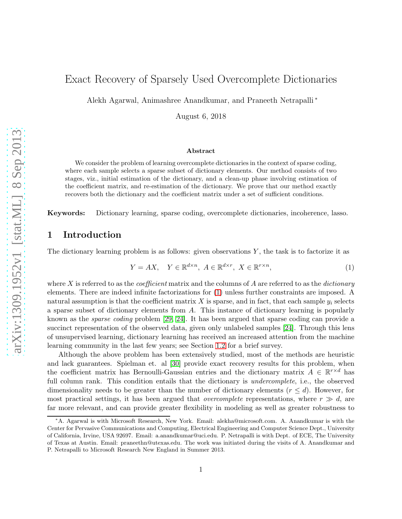# Exact Recovery of Sparsely Used Overcomplete Dictionaries

Alekh Agarwal, Animashree Anandkumar, and Praneeth Netrapalli <sup>∗</sup>

August 6, 2018

#### Abstract

We consider the problem of learning overcomplete dictionaries in the context of sparse coding, where each sample selects a sparse subset of dictionary elements. Our method consists of two stages, viz., initial estimation of the dictionary, and a clean-up phase involving estimation of the coefficient matrix, and re-estimation of the dictionary. We prove that our method exactly recovers both the dictionary and the coefficient matrix under a set of sufficient conditions.

Keywords: Dictionary learning, sparse coding, overcomplete dictionaries, incoherence, lasso.

# 1 Introduction

The dictionary learning problem is as follows: given observations  $Y$ , the task is to factorize it as

<span id="page-0-0"></span>
$$
Y = AX, \quad Y \in \mathbb{R}^{d \times n}, \ A \in \mathbb{R}^{d \times r}, \ X \in \mathbb{R}^{r \times n}, \tag{1}
$$

where X is referred to as the *coefficient* matrix and the columns of A are referred to as the *dictionary* elements. There are indeed infinite factorizations for [\(1\)](#page-0-0) unless further constraints are imposed. A natural assumption is that the coefficient matrix X is sparse, and in fact, that each sample  $y_i$  selects a sparse subset of dictionary elements from A. This instance of dictionary learning is popularly known as the sparse coding problem [\[29,](#page-30-0) [24\]](#page-30-1). It has been argued that sparse coding can provide a succinct representation of the observed data, given only unlabeled samples [\[24\]](#page-30-1). Through this lens of unsupervised learning, dictionary learning has received an increased attention from the machine learning community in the last few years; see Section [1.2](#page-1-0) for a brief survey.

Although the above problem has been extensively studied, most of the methods are heuristic and lack guarantees. Spielman et. al [\[30\]](#page-30-2) provide exact recovery results for this problem, when the coefficient matrix has Bernoulli-Gaussian entries and the dictionary matrix  $A \in \mathbb{R}^{r \times d}$  has full column rank. This condition entails that the dictionary is *undercomplete*, i.e., the observed dimensionality needs to be greater than the number of dictionary elements  $(r \leq d)$ . However, for most practical settings, it has been argued that *overcomplete* representations, where  $r \gg d$ , are far more relevant, and can provide greater flexibility in modeling as well as greater robustness to

<sup>∗</sup>A. Agarwal is with Microsoft Research, New York. Email: alekha@microsoft.com. A. Anandkumar is with the Center for Pervasive Communications and Computing, Electrical Engineering and Computer Science Dept., University of California, Irvine, USA 92697. Email: a.anandkumar@uci.edu. P. Netrapalli is with Dept. of ECE, The University of Texas at Austin. Email: praneethn@utexas.edu. The work was initiated during the visits of A. Anandkumar and P. Netrapalli to Microsoft Research New England in Summer 2013.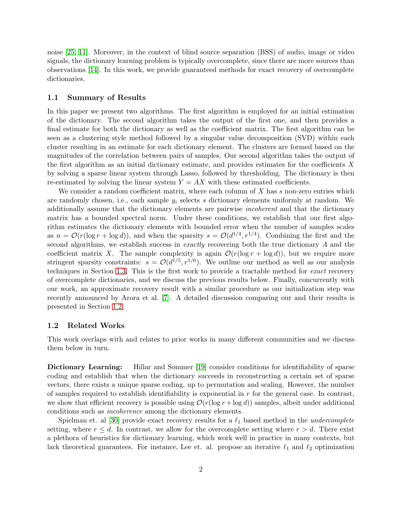noise [\[25,](#page-30-3) [11\]](#page-29-0). Moreover, in the context of blind source separation (BSS) of audio, image or video signals, the dictionary learning problem is typically overcomplete, since there are more sources than observations [\[14\]](#page-29-1). In this work, we provide guaranteed methods for exact recovery of overcomplete dictionaries.

#### 1.1 Summary of Results

In this paper we present two algorithms. The first algorithm is employed for an initial estimation of the dictionary. The second algorithm takes the output of the first one, and then provides a final estimate for both the dictionary as well as the coefficient matrix. The first algorithm can be seen as a clustering style method followed by a singular value decomposition (SVD) within each cluster resulting in an estimate for each dictionary element. The clusters are formed based on the magnitudes of the correlation between pairs of samples. Our second algorithm takes the output of the first algorithm as an initial dictionary estimate, and provides estimates for the coefficients  $X$ by solving a sparse linear system through Lasso, followed by thresholding. The dictionary is then re-estimated by solving the linear system  $Y = AX$  with these estimated coefficients.

We consider a random coefficient matrix, where each column of  $X$  has  $s$  non-zero entries which are randomly chosen, i.e., each sample  $y_i$  selects s dictionary elements uniformly at random. We additionally assume that the dictionary elements are pairwise incoherent and that the dictionary matrix has a bounded spectral norm. Under these conditions, we establish that our first algorithm estimates the dictionary elements with bounded error when the number of samples scales as  $n = \mathcal{O}(r(\log r + \log d))$ , and when the sparsity  $s = \mathcal{O}(d^{1/4}, r^{1/4})$ . Combining the first and the second algorithms, we establish success in *exactly* recovering both the true dictionary A and the coefficient matrix X. The sample complexity is again  $\mathcal{O}(r(\log r + \log d))$ , but we require more stringent sparsity constraints:  $s = \mathcal{O}(d^{1/5}, r^{1/6})$ . We outline our method as well as our analysis techniques in Section [1.3.](#page-3-0) This is the first work to provide a tractable method for exact recovery of overcomplete dictionaries, and we discuss the previous results below. Finally, concurrently with our work, an approximate recovery result with a similar procedure as our initialization step was recently announced by Arora et al. [\[7\]](#page-29-2). A detailed discussion comparing our and their results is presented in Section [1.2.](#page-1-0)

## <span id="page-1-0"></span>1.2 Related Works

This work overlaps with and relates to prior works in many different communities and we discuss them below in turn.

Dictionary Learning: Hillar and Sommer [\[19\]](#page-30-4) consider conditions for identifiability of sparse coding and establish that when the dictionary succeeds in reconstructing a certain set of sparse vectors, there exists a unique sparse coding, up to permutation and scaling. However, the number of samples required to establish identifiability is exponential in  $r$  for the general case. In contrast, we show that efficient recovery is possible using  $\mathcal{O}(r(\log r + \log d))$  samples, albeit under additional conditions such as incoherence among the dictionary elements.

Spielman et. al [\[30\]](#page-30-2) provide exact recovery results for a  $\ell_1$  based method in the *undercomplete* setting, where  $r \leq d$ . In contrast, we allow for the overcomplete setting where  $r > d$ . There exist a plethora of heuristics for dictionary learning, which work well in practice in many contexts, but lack theoretical guarantees. For instance, Lee et. al. propose an iterative  $\ell_1$  and  $\ell_2$  optimization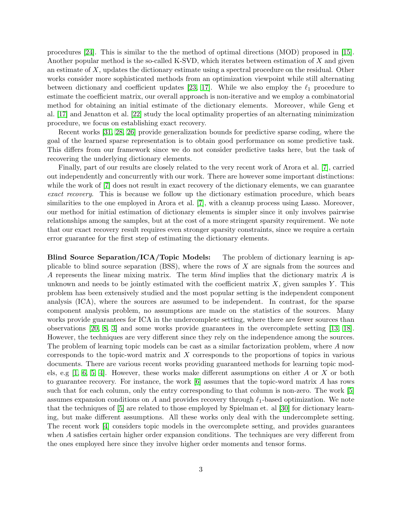procedures [\[24\]](#page-30-1). This is similar to the the method of optimal directions (MOD) proposed in [\[15\]](#page-29-3). Another popular method is the so-called K-SVD, which iterates between estimation of X and given an estimate of X, updates the dictionary estimate using a spectral procedure on the residual. Other works consider more sophisticated methods from an optimization viewpoint while still alternating between dictionary and coefficient updates [\[23,](#page-30-5) [17\]](#page-30-6). While we also employ the  $\ell_1$  procedure to estimate the coefficient matrix, our overall approach is non-iterative and we employ a combinatorial method for obtaining an initial estimate of the dictionary elements. Moreover, while Geng et al. [\[17\]](#page-30-6) and Jenatton et al. [\[22\]](#page-30-7) study the local optimality properties of an alternating minimization procedure, we focus on establishing exact recovery.

Recent works [\[31,](#page-30-8) [28,](#page-30-9) [26\]](#page-30-10) provide generalization bounds for predictive sparse coding, where the goal of the learned sparse representation is to obtain good performance on some predictive task. This differs from our framework since we do not consider predictive tasks here, but the task of recovering the underlying dictionary elements.

Finally, part of our results are closely related to the very recent work of Arora et al. [\[7\]](#page-29-2), carried out independently and concurrently with our work. There are however some important distinctions: while the work of  $|7|$  does not result in exact recovery of the dictionary elements, we can guarantee exact recovery. This is because we follow up the dictionary estimation procedure, which bears similarities to the one employed in Arora et al. [\[7\]](#page-29-2), with a cleanup process using Lasso. Moreover, our method for initial estimation of dictionary elements is simpler since it only involves pairwise relationships among the samples, but at the cost of a more stringent sparsity requirement. We note that our exact recovery result requires even stronger sparsity constraints, since we require a certain error guarantee for the first step of estimating the dictionary elements.

Blind Source Separation/ICA/Topic Models: The problem of dictionary learning is applicable to blind source separation (BSS), where the rows of X are signals from the sources and A represents the linear mixing matrix. The term blind implies that the dictionary matrix A is unknown and needs to be jointly estimated with the coefficient matrix  $X$ , given samples  $Y$ . This problem has been extensively studied and the most popular setting is the independent component analysis (ICA), where the sources are assumed to be independent. In contrast, for the sparse component analysis problem, no assumptions are made on the statistics of the sources. Many works provide guarantees for ICA in the undercomplete setting, where there are fewer sources than observations [\[20,](#page-30-11) [8,](#page-29-4) [3\]](#page-29-5) and some works provide guarantees in the overcomplete setting [\[13,](#page-29-6) [18\]](#page-30-12). However, the techniques are very different since they rely on the independence among the sources. The problem of learning topic models can be cast as a similar factorization problem, where A now corresponds to the topic-word matrix and X corresponds to the proportions of topics in various documents. There are various recent works providing guaranteed methods for learning topic models, e.g  $[1, 6, 5, 4]$  $[1, 6, 5, 4]$  $[1, 6, 5, 4]$  $[1, 6, 5, 4]$ . However, these works make different assumptions on either A or X or both to guarantee recovery. For instance, the work [\[6\]](#page-29-8) assumes that the topic-word matrix A has rows such that for each column, only the entry corresponding to that column is non-zero. The work [\[5\]](#page-29-9) assumes expansion conditions on A and provides recovery through  $\ell_1$ -based optimization. We note that the techniques of [\[5\]](#page-29-9) are related to those employed by Spielman et. al [\[30\]](#page-30-2) for dictionary learning, but make different assumptions. All these works only deal with the undercomplete setting. The recent work [\[4\]](#page-29-10) considers topic models in the overcomplete setting, and provides guarantees when A satisfies certain higher order expansion conditions. The techniques are very different from the ones employed here since they involve higher order moments and tensor forms.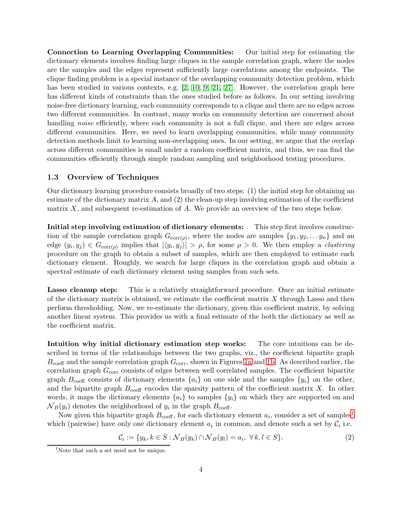Connection to Learning Overlapping Communities: Our initial step for estimating the dictionary elements involves finding large cliques in the sample correlation graph, where the nodes are the samples and the edges represent sufficiently large correlations among the endpoints. The clique finding problem is a special instance of the overlapping community detection problem, which has been studied in various contexts, e.g. [\[2,](#page-29-11) [10,](#page-29-12) [9,](#page-29-13) [21,](#page-30-13) [27\]](#page-30-14). However, the correlation graph here has different kinds of constraints than the ones studied before as follows. In our setting involving noise-free dictionary learning, each community corresponds to a clique and there are no edges across two different communities. In contrast, many works on community detection are concerned about handling *noise* efficiently, where each community is not a full clique, and there are edges across different communities. Here, we need to learn overlapping communities, while many community detection methods limit to learning non-overlapping ones. In our setting, we argue that the overlap across different communities is small under a random coefficient matrix, and thus, we can find the communities efficiently through simple random sampling and neighborhood testing procedures.

## <span id="page-3-0"></span>1.3 Overview of Techniques

Our dictionary learning procedure consists broadly of two steps: (1) the initial step for obtaining an estimate of the dictionary matrix  $A$ , and  $(2)$  the clean-up step involving estimation of the coefficient matrix  $X$ , and subsequent re-estimation of  $A$ . We provide an overview of the two steps below.

Initial step involving estimation of dictionary elements: This step first involves construction of the sample correlation graph  $G_{\text{corr}(\rho)}$ , where the nodes are samples  $\{y_1, y_2, \ldots, y_n\}$  and an edge  $(y_i, y_j) \in G_{\text{corr}(\rho)}$  implies that  $|\langle y_i, y_j \rangle| > \rho$ , for some  $\rho > 0$ . We then employ a *clustering* procedure on the graph to obtain a subset of samples, which are then employed to estimate each dictionary element. Roughly, we search for large cliques in the correlation graph and obtain a spectral estimate of each dictionary element using samples from such sets.

Lasso cleanup step: This is a relatively straightforward procedure. Once an initial estimate of the dictionary matrix is obtained, we estimate the coefficient matrix  $X$  through Lasso and then perform thresholding. Now, we re-estimate the dictionary, given this coefficient matrix, by solving another linear system. This provides us with a final estimate of the both the dictionary as well as the coefficient matrix.

Intuition why initial dictionary estimation step works: The core intuitions can be described in terms of the relationships between the two graphs, viz., the coefficient bipartite graph  $B_{\text{coeff}}$  and the sample correlation graph  $G_{\text{corr}}$ , shown in Figures [1a](#page-4-0) and [1b.](#page-4-1) As described earlier, the correlation graph  $G_{\text{corr}}$  consists of edges between well correlated samples. The coefficient bipartite graph  $B_{\text{coeff}}$  consists of dictionary elements  $\{a_i\}$  on one side and the samples  $\{y_i\}$  on the other, and the bipartite graph  $B_{\text{coeff}}$  encodes the sparsity pattern of the coefficient matrix X. In other words, it maps the dictionary elements  $\{a_i\}$  to samples  $\{y_i\}$  on which they are supported on and  $N_B(y_i)$  denotes the neighborhood of  $y_i$  in the graph  $B_{\text{coeff}}$ .

Now given this bipartite graph  $B_{\text{coeff}}$ , for each dictionary element  $a_i$ , consider a set of samples<sup>[1](#page-3-1)</sup> which (pairwise) have only one dictionary element  $a_i$  in common, and denote such a set by  $\mathcal{C}_i$  i.e.

<span id="page-3-2"></span>
$$
\mathcal{C}_i := \{ y_k, k \in S : \mathcal{N}_B(y_k) \cap \mathcal{N}_B(y_l) = a_i, \ \forall \, k, l \in S \}. \tag{2}
$$

<span id="page-3-1"></span><sup>&</sup>lt;sup>1</sup>Note that such a set need not be unique.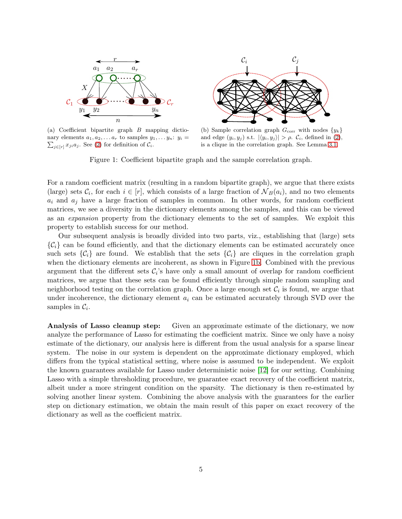<span id="page-4-0"></span>

(a) Coefficient bipartite graph B mapping dictionary elements  $a_1, a_2, \ldots, a_r$  to samples  $y_1, \ldots, y_n$ :  $y_i = \sum_{x \sim a} x_i$ . See (2) for definition of C.  $_{j\in[r]}x_{ji}a_j$ . See [\(2\)](#page-3-2) for definition of  $\mathcal{C}_i$ .

<span id="page-4-1"></span>(b) Sample correlation graph  $G_{\text{corr}}$  with nodes  $\{y_k\}$ and edge  $(y_i, y_j)$  s.t.  $|\langle y_i, y_j \rangle| > \rho$ .  $\mathcal{C}_i$ , defined in [\(2\)](#page-3-2), is a clique in the correlation graph. See Lemma [3.1.](#page-9-0)

Figure 1: Coefficient bipartite graph and the sample correlation graph.

For a random coefficient matrix (resulting in a random bipartite graph), we argue that there exists (large) sets  $\mathcal{C}_i$ , for each  $i \in [r]$ , which consists of a large fraction of  $\mathcal{N}_B(a_i)$ , and no two elements  $a_i$  and  $a_j$  have a large fraction of samples in common. In other words, for random coefficient matrices, we see a diversity in the dictionary elements among the samples, and this can be viewed as an expansion property from the dictionary elements to the set of samples. We exploit this property to establish success for our method.

Our subsequent analysis is broadly divided into two parts, viz., establishing that (large) sets  $\{\mathcal{C}_i\}$  can be found efficiently, and that the dictionary elements can be estimated accurately once such sets  $\{\mathcal{C}_i\}$  are found. We establish that the sets  $\{\mathcal{C}_i\}$  are cliques in the correlation graph when the dictionary elements are incoherent, as shown in Figure [1b.](#page-4-1) Combined with the previous argument that the different sets  $C_i$ 's have only a small amount of overlap for random coefficient matrices, we argue that these sets can be found efficiently through simple random sampling and neighborhood testing on the correlation graph. Once a large enough set  $\mathcal{C}_i$  is found, we argue that under incoherence, the dictionary element  $a_i$  can be estimated accurately through SVD over the samples in  $\mathcal{C}_i$ .

Analysis of Lasso cleanup step: Given an approximate estimate of the dictionary, we now analyze the performance of Lasso for estimating the coefficient matrix. Since we only have a noisy estimate of the dictionary, our analysis here is different from the usual analysis for a sparse linear system. The noise in our system is dependent on the approximate dictionary employed, which differs from the typical statistical setting, where noise is assumed to be independent. We exploit the known guarantees available for Lasso under deterministic noise [\[12\]](#page-29-14) for our setting. Combining Lasso with a simple thresholding procedure, we guarantee exact recovery of the coefficient matrix, albeit under a more stringent condition on the sparsity. The dictionary is then re-estimated by solving another linear system. Combining the above analysis with the guarantees for the earlier step on dictionary estimation, we obtain the main result of this paper on exact recovery of the dictionary as well as the coefficient matrix.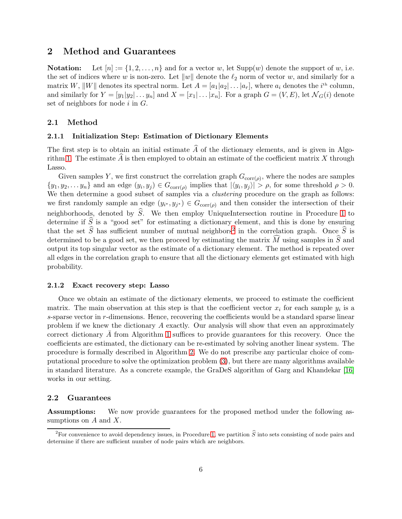# 2 Method and Guarantees

**Notation:** Let  $[n] := \{1, 2, ..., n\}$  and for a vector w, let  $\text{Supp}(w)$  denote the support of w, i.e. the set of indices where w is non-zero. Let  $||w||$  denote the  $\ell_2$  norm of vector w, and similarly for a matrix W,  $||W||$  denotes its spectral norm. Let  $A = [a_1 | a_2 | \dots | a_r]$ , where  $a_i$  denotes the  $i<sup>th</sup>$  column, and similarly for  $Y = [y_1|y_2|\dots y_n]$  and  $X = [x_1|\dots|x_n]$ . For a graph  $G = (V, E)$ , let  $\mathcal{N}_G(i)$  denote set of neighbors for node  $i$  in  $G$ .

# 2.1 Method

# 2.1.1 Initialization Step: Estimation of Dictionary Elements

The first step is to obtain an initial estimate  $\hat{A}$  of the dictionary elements, and is given in Algo-rithm [1.](#page-6-0) The estimate  $\widehat{A}$  is then employed to obtain an estimate of the coefficient matrix X through Lasso.

Given samples Y, we first construct the correlation graph  $G_{\text{corr}(\rho)}$ , where the nodes are samples  $\{y_1, y_2, \ldots y_n\}$  and an edge  $(y_i, y_j) \in G_{\text{corr}(\rho)}$  implies that  $|\langle y_i, y_j \rangle| > \rho$ , for some threshold  $\rho > 0$ . We then determine a good subset of samples via a *clustering* procedure on the graph as follows: we first randomly sample an edge  $(y_{i^*}, y_{j^*}) \in G_{\text{corr}(\rho)}$  and then consider the intersection of their neighborhoods, denoted by  $\hat{S}$ . We then employ UniqueIntersection routine in Procedure [1](#page-6-0) to determine if  $\hat{S}$  is a "good set" for estimating a dictionary element, and this is done by ensuring that the set  $\hat{S}$  has sufficient number of mutual neighbors<sup>[2](#page-5-0)</sup> in the correlation graph. Once  $\hat{S}$  is determined to be a good set, we then proceed by estimating the matrix  $\widehat{M}$  using samples in  $\widehat{S}$  and output its top singular vector as the estimate of a dictionary element. The method is repeated over all edges in the correlation graph to ensure that all the dictionary elements get estimated with high probability.

#### 2.1.2 Exact recovery step: Lasso

Once we obtain an estimate of the dictionary elements, we proceed to estimate the coefficient matrix. The main observation at this step is that the coefficient vector  $x_i$  for each sample  $y_i$  is a  $s$ -sparse vector in  $r$ -dimensions. Hence, recovering the coefficients would be a standard sparse linear problem if we knew the dictionary A exactly. Our analysis will show that even an approximately correct dictionary  $\overline{A}$  from Algorithm [1](#page-6-0) suffices to provide guarantees for this recovery. Once the coefficients are estimated, the dictionary can be re-estimated by solving another linear system. The procedure is formally described in Algorithm [2.](#page-7-0) We do not prescribe any particular choice of computational procedure to solve the optimization problem [\(3\)](#page-7-1), but there are many algorithms available in standard literature. As a concrete example, the GraDeS algorithm of Garg and Khandekar [\[16\]](#page-30-15) works in our setting.

# 2.2 Guarantees

Assumptions: We now provide guarantees for the proposed method under the following assumptions on  $A$  and  $X$ .

<span id="page-5-0"></span><sup>&</sup>lt;sup>2</sup>For convenience to avoid dependency issues, in Procedure [1,](#page-6-0) we partition  $\hat{S}$  into sets consisting of node pairs and determine if there are sufficient number of node pairs which are neighbors.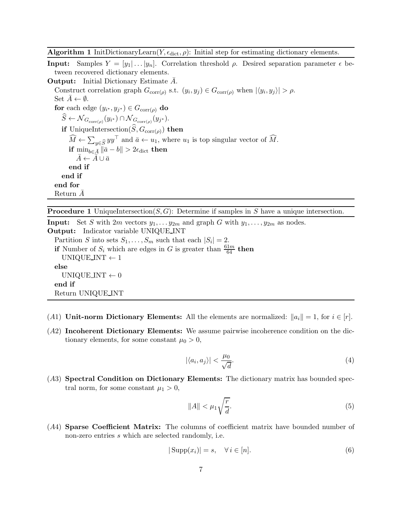**Algorithm 1** InitDictionaryLearn $(Y, \epsilon_{\text{dict}}, \rho)$ : Initial step for estimating dictionary elements.

**Input:** Samples  $Y = [y_1 | \dots | y_n]$ . Correlation threshold  $\rho$ . Desired separation parameter  $\epsilon$  between recovered dictionary elements.

**Output:** Initial Dictionary Estimate A. Construct correlation graph  $G_{\text{corr}(\rho)}$  s.t.  $(y_i, y_j) \in G_{\text{corr}(\rho)}$  when  $|\langle y_i, y_j \rangle| > \rho$ . Set  $A \leftarrow \emptyset$ . for each edge  $(y_{i^*}, y_{j^*}) \in G_{\text{corr}(\rho)}$  do  $S \leftarrow \mathcal{N}_{G_{\text{corr}(\rho)}}(y_{i^*}) \cap \mathcal{N}_{G_{\text{corr}(\rho)}}(y_{j^*}).$ if UniqueIntersection( $S, G_{\text{corr}(\rho)}$ ) then  $\widehat{M} \leftarrow \sum_{y \in \widehat{S}} yy^{\top}$  and  $\bar{a} \leftarrow u_1$ , where  $u_1$  is top singular vector of  $\widehat{M}$ . if  $\min_{b \in \bar{A}} \|\bar{a} - b\| > 2\epsilon_{\text{dict}}$  then  $A \leftarrow A \cup \bar{a}$ end if end if end for Return  $\bar{A}$ 

<span id="page-6-0"></span>**Procedure 1** UniqueIntersection( $S, G$ ): Determine if samples in S have a unique intersection.

**Input:** Set S with  $2m$  vectors  $y_1, \ldots, y_{2m}$  and graph G with  $y_1, \ldots, y_{2m}$  as nodes. Output: Indicator variable UNIQUE INT Partition S into sets  $S_1, \ldots, S_m$  such that each  $|S_i| = 2$ . if Number of  $S_i$  which are edges in G is greater than  $\frac{61m}{64}$  then UNIQUE INT  $\leftarrow$  1 else UNIQUE INT  $\leftarrow 0$ end if Return UNIQUE INT

- (A1) Unit-norm Dictionary Elements: All the elements are normalized:  $||a_i|| = 1$ , for  $i \in [r]$ .
- (A2) Incoherent Dictionary Elements: We assume pairwise incoherence condition on the dictionary elements, for some constant  $\mu_0 > 0$ ,

<span id="page-6-1"></span>
$$
|\langle a_i, a_j \rangle| < \frac{\mu_0}{\sqrt{d}}.\tag{4}
$$

(A3) Spectral Condition on Dictionary Elements: The dictionary matrix has bounded spectral norm, for some constant  $\mu_1 > 0$ ,

$$
\|A\| < \mu_1 \sqrt{\frac{r}{d}}.\tag{5}
$$

(A4) Sparse Coefficient Matrix: The columns of coefficient matrix have bounded number of non-zero entries s which are selected randomly, i.e.

<span id="page-6-2"></span>
$$
|\text{Supp}(x_i)| = s, \quad \forall \, i \in [n]. \tag{6}
$$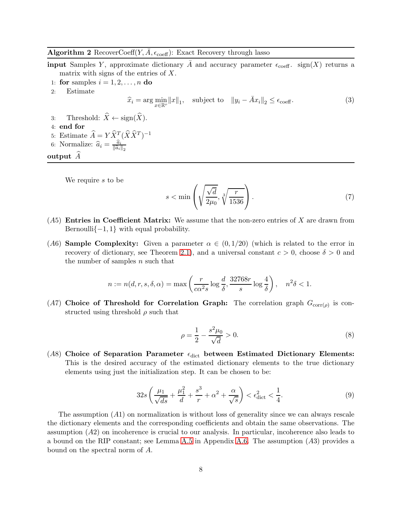# <span id="page-7-0"></span>Algorithm 2 RecoverCoeff $(Y, \bar{A}, \epsilon_{\text{coeff}})$ : Exact Recovery through lasso

**input** Samples Y, approximate dictionary  $\overline{A}$  and accuracy parameter  $\epsilon_{\text{coeff}}$ . sign(X) returns a matrix with signs of the entries of  $X$ .

- 1: for samples  $i = 1, 2, \ldots, n$  do
- 2: Estimate

<span id="page-7-1"></span>
$$
\widehat{x}_i = \arg\min_{x \in \mathbb{R}^r} ||x||_1, \quad \text{subject to} \quad ||y_i - \bar{A}x_i||_2 \le \epsilon_{\text{coeff}}. \tag{3}
$$

- 3: Threshold:  $\widehat{X} \leftarrow \text{sign}(\widehat{X})$ .
- 4: end for
- 5: Estimate  $\widehat{A} = Y \widehat{X}_{\widehat{A}}^T (\widehat{X} \widehat{X}^T)^{-1}$
- 6: Normalize:  $\hat{a}_i = \frac{\hat{a}_i}{\|\hat{a}_i\|}$  $\left\Vert \widehat{a}_{i}\right\Vert _{2}$

output  $\widetilde{A}$ 

We require s to be

<span id="page-7-2"></span>
$$
s < \min\left(\sqrt{\frac{\sqrt{d}}{2\mu_0}}, \sqrt[3]{\frac{r}{1536}}\right). \tag{7}
$$

- $(A5)$  Entries in Coefficient Matrix: We assume that the non-zero entries of X are drawn from Bernoulli $\{-1, 1\}$  with equal probability.
- (A6) **Sample Complexity:** Given a parameter  $\alpha \in (0,1/20)$  (which is related to the error in recovery of dictionary, see Theorem [2.1\)](#page-8-0), and a universal constant  $c > 0$ , choose  $\delta > 0$  and the number of samples  $n$  such that

$$
n := n(d, r, s, \delta, \alpha) = \max\left(\frac{r}{c\alpha^2 s} \log \frac{d}{\delta}, \frac{32768r}{s} \log \frac{4}{\delta}\right), \quad n^2 \delta < 1.
$$

(A7) Choice of Threshold for Correlation Graph: The correlation graph  $G_{\text{corr}(\rho)}$  is constructed using threshold  $\rho$  such that

$$
\rho = \frac{1}{2} - \frac{s^2 \mu_0}{\sqrt{d}} > 0.
$$
\n(8)

(A8) Choice of Separation Parameter  $\epsilon_{\text{dict}}$  between Estimated Dictionary Elements: This is the desired accuracy of the estimated dictionary elements to the true dictionary elements using just the initialization step. It can be chosen to be:

$$
32s\left(\frac{\mu_1}{\sqrt{ds}} + \frac{\mu_1^2}{d} + \frac{s^3}{r} + \alpha^2 + \frac{\alpha}{\sqrt{s}}\right) < \epsilon_{\text{dict}}^2 < \frac{1}{4}.\tag{9}
$$

The assumption  $(A1)$  on normalization is without loss of generality since we can always rescale the dictionary elements and the corresponding coefficients and obtain the same observations. The assumption (A2) on incoherence is crucial to our analysis. In particular, incoherence also leads to a bound on the RIP constant; see Lemma [A.5](#page-27-0) in Appendix [A.6.](#page-27-1) The assumption (A3) provides a bound on the spectral norm of A.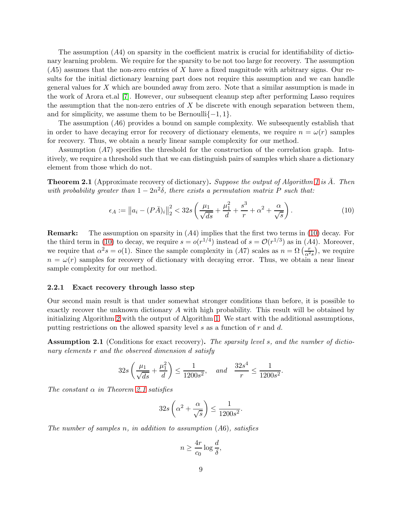The assumption  $(A4)$  on sparsity in the coefficient matrix is crucial for identifiability of dictionary learning problem. We require for the sparsity to be not too large for recovery. The assumption  $(A5)$  assumes that the non-zero entries of X have a fixed magnitude with arbitrary signs. Our results for the initial dictionary learning part does not require this assumption and we can handle general values for X which are bounded away from zero. Note that a similar assumption is made in the work of Arora et.al [\[7\]](#page-29-2). However, our subsequent cleanup step after performing Lasso requires the assumption that the non-zero entries of  $X$  be discrete with enough separation between them, and for simplicity, we assume them to be Bernoulli $\{-1, 1\}$ .

The assumption  $(A6)$  provides a bound on sample complexity. We subsequently establish that in order to have decaying error for recovery of dictionary elements, we require  $n = \omega(r)$  samples for recovery. Thus, we obtain a nearly linear sample complexity for our method.

Assumption (A7) specifies the threshold for the construction of the correlation graph. Intuitively, we require a threshold such that we can distinguish pairs of samples which share a dictionary element from those which do not.

<span id="page-8-0"></span>**Theorem 2.1** (Approximate recovery of dictionary). Suppose the output of Algorithm [1](#page-6-0) is A. Then with probability greater than  $1 - 2n^2\delta$ , there exists a permutation matrix P such that:

<span id="page-8-1"></span>
$$
\epsilon_A := \|a_i - (P\bar{A})_i\|_2^2 < 32s \left(\frac{\mu_1}{\sqrt{ds}} + \frac{\mu_1^2}{d} + \frac{s^3}{r} + \alpha^2 + \frac{\alpha}{\sqrt{s}}\right). \tag{10}
$$

**Remark:** The assumption on sparsity in  $(A4)$  implies that the first two terms in  $(10)$  decay. For the third term in [\(10\)](#page-8-1) to decay, we require  $s = o(r^{1/4})$  instead of  $s = \mathcal{O}(r^{1/3})$  as in (A4). Moreover, we require that  $\alpha^2 s = o(1)$ . Since the sample complexity in (A7) scales as  $n = \Omega\left(\frac{r}{\alpha^2 s}\right)$ , we require  $n = \omega(r)$  samples for recovery of dictionary with decaying error. Thus, we obtain a near linear sample complexity for our method.

#### 2.2.1 Exact recovery through lasso step

Our second main result is that under somewhat stronger conditions than before, it is possible to exactly recover the unknown dictionary A with high probability. This result will be obtained by initializing Algorithm [2](#page-7-0) with the output of Algorithm [1.](#page-6-0) We start with the additional assumptions, putting restrictions on the allowed sparsity level  $s$  as a function of  $r$  and  $d$ .

<span id="page-8-2"></span>Assumption 2.1 (Conditions for exact recovery). The sparsity level s, and the number of dictionary elements r and the observed dimension d satisfy

$$
32s\left(\frac{\mu_1}{\sqrt{ds}} + \frac{\mu_1^2}{d}\right) \le \frac{1}{1200s^2}, \text{ and } \frac{32s^4}{r} \le \frac{1}{1200s^2}.
$$

The constant  $\alpha$  in Theorem [2.1](#page-8-0) satisfies

$$
32s\left(\alpha^2 + \frac{\alpha}{\sqrt{s}}\right) \le \frac{1}{1200s^2}.
$$

The number of samples n, in addition to assumption  $(A6)$ , satisfies

$$
n \ge \frac{4r}{c_0} \log \frac{d}{\delta},
$$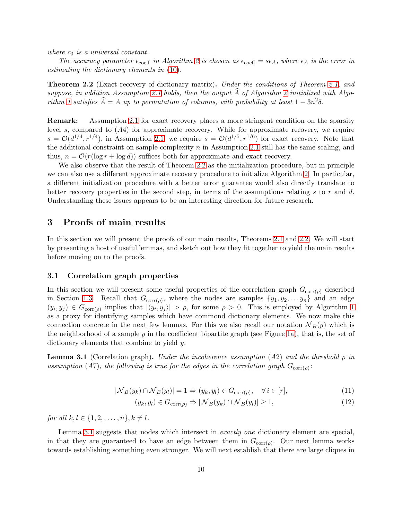where  $c_0$  is a universal constant.

The accuracy parameter  $\epsilon_{\text{coeff}}$  in Algorithm [2](#page-7-0) is chosen as  $\epsilon_{\text{coeff}} = s\epsilon_A$ , where  $\epsilon_A$  is the error in estimating the dictionary elements in [\(10\)](#page-8-1).

<span id="page-9-1"></span>**Theorem 2.2** (Exact recovery of dictionary matrix). Under the conditions of Theorem [2.1,](#page-8-0) and suppose, in addition Assumption [2.1](#page-8-2) holds, then the output  $\overline{A}$  of Algorithm [2](#page-7-0) initialized with Algo-rithm [1](#page-6-0) satisfies  $\widehat{A} = A$  up to permutation of columns, with probability at least  $1 - 3n^2\delta$ .

Remark: Assumption [2.1](#page-8-2) for exact recovery places a more stringent condition on the sparsity level s, compared to  $(A4)$  for approximate recovery. While for approximate recovery, we require  $s = \mathcal{O}(d^{1/4}, r^{1/4})$ , in Assumption [2.1,](#page-8-2) we require  $s = \mathcal{O}(d^{1/5}, r^{1/6})$  for exact recovery. Note that the additional constraint on sample complexity  $n$  in Assumption [2.1](#page-8-2) still has the same scaling, and thus,  $n = \mathcal{O}(r(\log r + \log d))$  suffices both for approximate and exact recovery.

We also observe that the result of Theorem [2.2](#page-9-1) as the initialization procedure, but in principle we can also use a different approximate recovery procedure to initialize Algorithm [2.](#page-7-0) In particular, a different initialization procedure with a better error guarantee would also directly translate to better recovery properties in the second step, in terms of the assumptions relating s to r and d. Understanding these issues appears to be an interesting direction for future research.

# 3 Proofs of main results

In this section we will present the proofs of our main results, Theorems [2.1](#page-8-0) and [2.2.](#page-9-1) We will start by presenting a host of useful lemmas, and sketch out how they fit together to yield the main results before moving on to the proofs.

### <span id="page-9-2"></span>3.1 Correlation graph properties

In this section we will present some useful properties of the correlation graph  $G_{\text{corr}(\rho)}$  described in Section [1.3.](#page-3-0) Recall that  $G_{\text{corr}(\rho)}$ , where the nodes are samples  $\{y_1, y_2, \ldots, y_n\}$  and an edge  $(y_i, y_j) \in G_{\text{corr}(\rho)}$  implies that  $|\langle y_i, y_j \rangle| > \rho$ , for some  $\rho > 0$ . This is employed by Algorithm [1](#page-6-0) as a proxy for identifying samples which have commond dictionary elements. We now make this connection concrete in the next few lemmas. For this we also recall our notation  $\mathcal{N}_B(y)$  which is the neighborhood of a sample  $y$  in the coefficient bipartite graph (see Figure [1a\)](#page-4-0), that is, the set of dictionary elements that combine to yield y.

<span id="page-9-0"></span>**Lemma 3.1** (Correlation graph). Under the incoherence assumption (A2) and the threshold  $\rho$  in assumption (A7), the following is true for the edges in the correlation graph  $G_{\text{corr}(\rho)}$ :

$$
|\mathcal{N}_B(y_k) \cap \mathcal{N}_B(y_l)| = 1 \Rightarrow (y_k, y_l) \in G_{\text{corr}(\rho)}, \quad \forall i \in [r], \tag{11}
$$

<span id="page-9-4"></span><span id="page-9-3"></span>
$$
(y_k, y_l) \in G_{\text{corr}(\rho)} \Rightarrow |\mathcal{N}_B(y_k) \cap \mathcal{N}_B(y_l)| \ge 1,\tag{12}
$$

for all  $k, l \in \{1, 2, ..., n\}, k \neq l$ .

Lemma [3.1](#page-9-0) suggests that nodes which intersect in *exactly one* dictionary element are special, in that they are guaranteed to have an edge between them in  $G_{\text{corr}(\rho)}$ . Our next lemma works towards establishing something even stronger. We will next establish that there are large cliques in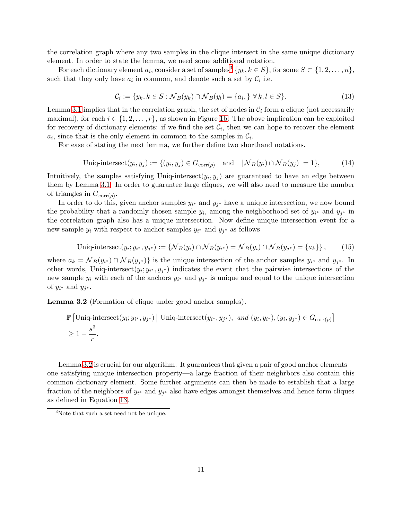the correlation graph where any two samples in the clique intersect in the same unique dictionary element. In order to state the lemma, we need some additional notation.

For each dictionary element  $a_i$ , consider a set of samples<sup>[3](#page-10-0)</sup>  $\{y_k, k \in S\}$ , for some  $S \subset \{1, 2, ..., n\}$ , such that they only have  $a_i$  in common, and denote such a set by  $\mathcal{C}_i$  i.e.

<span id="page-10-2"></span>
$$
\mathcal{C}_i := \{y_k, k \in S : \mathcal{N}_B(y_k) \cap \mathcal{N}_B(y_l) = \{a_i, \} \forall k, l \in S\}.
$$
\n
$$
(13)
$$

Lemma [3.1](#page-9-0) implies that in the correlation graph, the set of nodes in  $\mathcal{C}_i$  form a clique (not necessarily maximal), for each  $i \in \{1, 2, \ldots, r\}$ , as shown in Figure [1b.](#page-4-1) The above implication can be exploited for recovery of dictionary elements: if we find the set  $\mathcal{C}_i$ , then we can hope to recover the element  $a_i$ , since that is the only element in common to the samples in  $\mathcal{C}_i$ .

For ease of stating the next lemma, we further define two shorthand notations.

$$
\text{Uniq-intersect}(y_i, y_j) := \{ (y_i, y_j) \in G_{\text{corr}(\rho)} \quad \text{and} \quad |\mathcal{N}_B(y_i) \cap \mathcal{N}_B(y_j)| = 1 \},\tag{14}
$$

Intuitively, the samples satisfying Uniq-intersect $(y_i, y_j)$  are guaranteed to have an edge between them by Lemma [3.1.](#page-9-0) In order to guarantee large cliques, we will also need to measure the number of triangles in  $G_{\text{corr}(\rho)}$ .

In order to do this, given anchor samples  $y_{i^*}$  and  $y_{j^*}$  have a unique intersection, we now bound the probability that a randomly chosen sample  $y_i$ , among the neighborhood set of  $y_{i^*}$  and  $y_{j^*}$  in the correlation graph also has a unique intersection. Now define unique intersection event for a new sample  $y_i$  with respect to anchor samples  $y_{i^*}$  and  $y_{j^*}$  as follows

$$
\text{Uniq-intersect}(y_i; y_{i^*}, y_{j^*}) := \{ \mathcal{N}_B(y_i) \cap \mathcal{N}_B(y_{i^*}) = \mathcal{N}_B(y_i) \cap \mathcal{N}_B(y_{j^*}) = \{a_k\} \},\tag{15}
$$

where  $a_k = \mathcal{N}_B(y_{i^*}) \cap \mathcal{N}_B(y_{j^*})\}$  is the unique intersection of the anchor samples  $y_{i^*}$  and  $y_{j^*}$ . In other words, Uniq-intersect $(y_i; y_{i^*}, y_{j^*})$  indicates the event that the pairwise intersections of the new sample  $y_i$  with each of the anchors  $y_{i^*}$  and  $y_{j^*}$  is unique and equal to the unique intersection of  $y_{i^*}$  and  $y_{j^*}$ .

<span id="page-10-1"></span>Lemma 3.2 (Formation of clique under good anchor samples).

$$
\mathbb{P} \left[ \text{Uniq-intersect}(y_i; y_{i^*}, y_{j^*}) \mid \text{Uniq-intersect}(y_{i^*}, y_{j^*}), \text{ and } (y_i, y_{i^*}), (y_i, y_{j^*}) \in G_{\text{corr}(\rho)} \right]
$$
  
\n
$$
\geq 1 - \frac{s^3}{r}.
$$

Lemma [3.2](#page-10-1) is crucial for our algorithm. It guarantees that given a pair of good anchor elements one satisfying unique intersection property—a large fraction of their neighrbors also contain this common dictionary element. Some further arguments can then be made to establish that a large fraction of the neighbors of  $y_{i^*}$  and  $y_{j^*}$  also have edges amongst themselves and hence form cliques as defined in Equation [13.](#page-10-2)

<span id="page-10-0"></span><sup>&</sup>lt;sup>3</sup>Note that such a set need not be unique.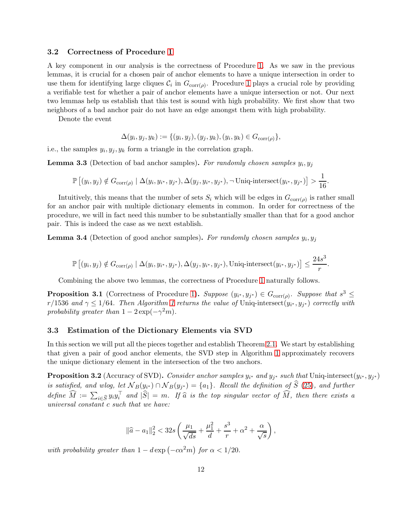# 3.2 Correctness of Procedure [1](#page-6-0)

A key component in our analysis is the correctness of Procedure [1.](#page-6-0) As we saw in the previous lemmas, it is crucial for a chosen pair of anchor elements to have a unique intersection in order to use them for identifying large cliques  $C_i$  in  $G_{\text{corr}(\rho)}$ . Procedure [1](#page-6-0) plays a crucial role by providing a verifiable test for whether a pair of anchor elements have a unique intersection or not. Our next two lemmas help us establish that this test is sound with high probability. We first show that two neighbors of a bad anchor pair do not have an edge amongst them with high probability.

Denote the event

$$
\Delta(y_i, y_j, y_k) := \{ (y_i, y_j), (y_j, y_k), (y_i, y_k) \in G_{\text{corr}(\rho)} \},
$$

i.e., the samples  $y_i, y_j, y_k$  form a triangle in the correlation graph.

<span id="page-11-2"></span>**Lemma 3.3** (Detection of bad anchor samples). For randomly chosen samples  $y_i, y_j$ 

$$
\mathbb{P}\left[(y_i, y_j) \notin G_{\text{corr}(\rho)} \mid \Delta(y_i, y_{i^*}, y_{j^*}), \Delta(y_j, y_{i^*}, y_{j^*}), \neg \text{Uniq-intersect}(y_{i^*}, y_{j^*})\right] > \frac{1}{16}.
$$

Intuitively, this means that the number of sets  $S_i$  which will be edges in  $G_{\text{corr}(\rho)}$  is rather small for an anchor pair with multiple dictionary elements in common. In order for correctness of the procedure, we will in fact need this number to be substantially smaller than that for a good anchor pair. This is indeed the case as we next establish.

<span id="page-11-3"></span>**Lemma 3.4** (Detection of good anchor samples). For randomly chosen samples  $y_i, y_j$ 

$$
\mathbb{P}\left[(y_i, y_j) \notin G_{\text{corr}(\rho)} \mid \Delta(y_i, y_{i^*}, y_{j^*}), \Delta(y_j, y_{i^*}, y_{j^*}), \text{Uniq-intersect}(y_{i^*}, y_{j^*})\right] \le \frac{24s^3}{r}.
$$

Combining the above two lemmas, the correctness of Procedure [1](#page-6-0) naturally follows.

<span id="page-11-4"></span>**Proposition 3.1** (Correctness of Procedure [1\)](#page-6-0). Suppose  $(y_{i^*}, y_{j^*}) \in G_{corr(\rho)}$ . Suppose that  $s^3 \leq$  $r/1536$  and  $\gamma \leq 1/64$  $\gamma \leq 1/64$  $\gamma \leq 1/64$ . Then Algorithm 1 returns the value of Uniq-intersect $(y_{i^*}, y_{j^*})$  correctly with probability greater than  $1 - 2 \exp(-\gamma^2 m)$ .

## <span id="page-11-1"></span>3.3 Estimation of the Dictionary Elements via SVD

In this section we will put all the pieces together and establish Theorem [2.1.](#page-8-0) We start by establishing that given a pair of good anchor elements, the SVD step in Algorithm [1](#page-6-0) approximately recovers the unique dictionary element in the intersection of the two anchors.

<span id="page-11-0"></span>**Proposition 3.2** (Accuracy of SVD). Consider anchor samples  $y_{i^*}$  and  $y_{j^*}$  such that Uniq-intersect $(y_{i^*}, y_{j^*})$ is satisfied, and wlog, let  $N_B(y_{i^*}) \cap N_B(y_{j^*}) = \{a_1\}$ . Recall the definition of S [\(25\)](#page-21-0), and further define  $\widehat{M} := \sum_{i \in \widehat{S}} y_i y_i^{\top}$  and  $|\widehat{S}| = m$ . If  $\widehat{a}$  is the top singular vector of  $\widehat{M}$ , then there exists a universal constant c such that we have:

$$
\|\hat{a} - a_1\|_2^2 < 32s \left(\frac{\mu_1}{\sqrt{ds}} + \frac{\mu_1^2}{d} + \frac{s^3}{r} + \alpha^2 + \frac{\alpha}{\sqrt{s}}\right),
$$

with probability greater than  $1 - d \exp(-c\alpha^2 m)$  for  $\alpha < 1/20$ .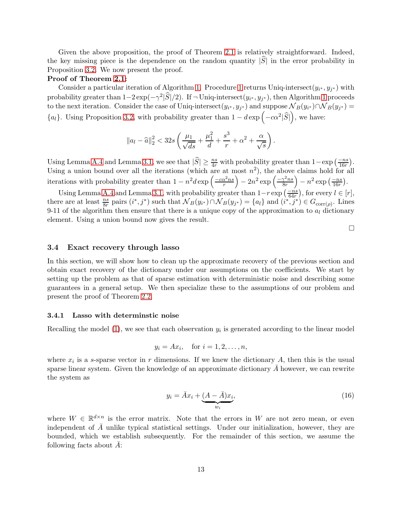Given the above proposition, the proof of Theorem [2.1](#page-8-0) is relatively straightforward. Indeed, the key missing piece is the dependence on the random quantity  $|\hat{S}|$  in the error probability in Proposition [3.2.](#page-11-0) We now present the proof.

#### Proof of Theorem [2.1:](#page-8-0)

Consider a particular iteration of Algorithm [1.](#page-6-0) Procedure [1](#page-6-0) returns Uniq-intersect $(y_{i^*}, y_{j^*})$  with probability greater than  $1-2\exp(-\gamma^2|\widehat{S}|/2)$ . If  $\neg$  Uniq-intersect $(y_{i^*}, y_{j^*})$ , then Algorithm [1](#page-6-0) proceeds to the next iteration. Consider the case of Uniq-intersect $(y_{i^*}, y_{j^*})$  and suppose  $\mathcal{N}_B(y_{i^*}) \cap \mathcal{N}_B(y_{j^*}) =$  ${a_l}$ . Using Proposition [3.2,](#page-11-0) with probability greater than  $1 - d \exp(-c\alpha^2|\widehat{S}|)$ , we have:

$$
\|a_l - \widehat{a}\|_2^2 < 32s \left(\frac{\mu_1}{\sqrt{ds}} + \frac{\mu_1^2}{d} + \frac{s^3}{r} + \alpha^2 + \frac{\alpha}{\sqrt{s}}\right).
$$

Using Lemma [A.4](#page-27-2) and Lemma [3.1,](#page-9-0) we see that  $|\widehat{S}| \geq \frac{ns}{4r}$  with probability greater than  $1-\exp\left(\frac{-ns}{16r}\right)$ . Using a union bound over all the iterations (which are at most  $n^2$ ), the above claims hold for all iterations with probability greater than  $1 - n^2 d \exp \left( \frac{-c \alpha^2 n s}{r} \right)$  $\int -2n^2 \exp\left(-\frac{\gamma^2 n s}{8r}\right)$ 8r  $\Big) - n^2 \exp \left( \frac{-ns}{16r} \right).$ 

Using Lemma [A.4](#page-27-2) and Lemma [3.1,](#page-9-0) with probability greater than  $1-r \exp\left(\frac{-ns}{64r}\right)$ , for every  $l \in [r]$ , there are at least  $\frac{ns}{8r}$  pairs  $(i^*, j^*)$  such that  $\mathcal{N}_B(y_{i^*}) \cap \mathcal{N}_B(y_{j^*}) = \{a_l\}$  and  $(i^*, j^*) \in G_{\text{corr}(\rho)}$ . Lines 9-11 of the algorithm then ensure that there is a unique copy of the approximation to  $a<sub>l</sub>$  dictionary element. Using a union bound now gives the result.

 $\Box$ 

#### 3.4 Exact recovery through lasso

In this section, we will show how to clean up the approximate recovery of the previous section and obtain exact recovery of the dictionary under our assumptions on the coefficients. We start by setting up the problem as that of sparse estimation with deterministic noise and describing some guarantees in a general setup. We then specialize these to the assumptions of our problem and present the proof of Theorem [2.2.](#page-9-1)

#### 3.4.1 Lasso with determinstic noise

Recalling the model  $(1)$ , we see that each observation  $y_i$  is generated according to the linear model

$$
y_i = Ax_i, \quad \text{for } i = 1, 2, \dots, n,
$$

where  $x_i$  is a s-sparse vector in r dimensions. If we knew the dictionary A, then this is the usual sparse linear system. Given the knowledge of an approximate dictionary  $A$  however, we can rewrite the system as

<span id="page-12-0"></span>
$$
y_i = \bar{A}x_i + \underbrace{(A - \bar{A})x_i}_{w_i},\tag{16}
$$

where  $W \in \mathbb{R}^{d \times n}$  is the error matrix. Note that the errors in W are not zero mean, or even independent of  $\bar{A}$  unlike typical statistical settings. Under our initialization, however, they are bounded, which we establish subsequently. For the remainder of this section, we assume the following facts about  $A$ :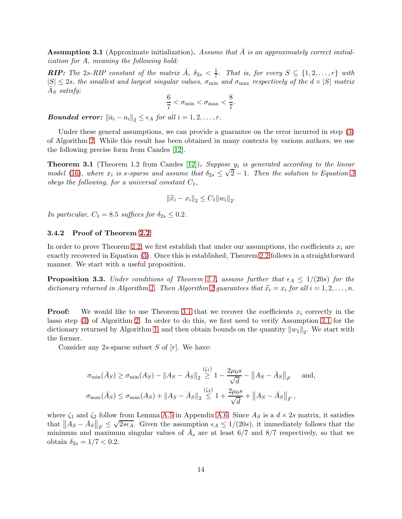<span id="page-13-1"></span>**Assumption 3.1** (Approximate initialization). Assume that A is an approximately correct initialization for A, meaning the following hold:

**RIP:** The 2s-RIP constant of the matrix  $\bar{A}$ ,  $\delta_{2s} < \frac{1}{7}$  $\frac{1}{7}$ . That is, for every  $S \subseteq \{1, 2, \ldots, r\}$  with  $|S| \leq 2s$ , the smallest and largest singular values,  $\sigma_{\min}$  and  $\sigma_{\max}$  respectively of the  $d \times |S|$  matrix  $\bar{A}_S$  satisfy:

$$
\frac{6}{7} < \sigma_{\min} < \sigma_{\max} < \frac{8}{7}.
$$

**Bounded error:**  $\|\bar{a}_i - a_i\|_2 \leq \epsilon_A$  for all  $i = 1, 2, ..., r$ .

Under these general assumptions, we can provide a guarantee on the error incurred in step [\(3\)](#page-7-1) of Algorithm [2.](#page-7-0) While this result has been obtained in many contexts by various authors, we use the following precise form from Candes [\[12\]](#page-29-14).

<span id="page-13-0"></span>**Theorem 3.1** (Theorem 1.2 from Candes [\[12\]](#page-29-14)). Suppose  $y_i$  is generated according to the linear model [\(16\)](#page-12-0), where  $x_i$  is s-sparse and assume that  $\delta_{2s} \leq \sqrt{2} - 1$ . Then the solution to Equation [3](#page-7-1) obeys the following, for a universal constant  $C_1$ ,

$$
\|\widehat{x}_i - x_i\|_2 \le C_1 \|w_i\|_2.
$$

In particular,  $C_1 = 8.5$  suffices for  $\delta_{2s} \leq 0.2$ .

#### 3.4.2 Proof of Theorem [2.2](#page-9-1)

In order to prove Theorem [2.2,](#page-9-1) we first establish that under our assumptions, the coefficients  $x_i$  are exactly recovered in Equation [\(3\)](#page-7-1). Once this is established, Theorem [2.2](#page-9-1) follows in a straightforward manner. We start with a useful proposition.

<span id="page-13-2"></span>**Proposition 3.3.** Under conditions of Theorem [2.1,](#page-8-0) assume further that  $\epsilon_A \leq 1/(20s)$  for the dictionary returned in Algorithm [1.](#page-6-0) Then Algorithm [2](#page-7-0) guarantees that  $\hat{x}_i = x_i$  for all  $i = 1, 2, ..., n$ .

**Proof:** We would like to use Theorem [3.1](#page-13-0) that we recover the coefficients  $x_i$  correctly in the lasso step [\(3\)](#page-7-1) of Algorithm [2.](#page-7-0) In order to do this, we first need to verify Assumption [3.1](#page-13-1) for the dictionary returned by Algorithm [1,](#page-6-0) and then obtain bounds on the quantity  $||w_1||_2$ . We start with the former.

Consider any 2s-sparse subset  $S$  of  $[r]$ . We have:

$$
\sigma_{\min}(\bar{A}_S) \ge \sigma_{\min}(A_S) - \|A_S - \bar{A}_S\|_2 \stackrel{\text{(G1)}}{\ge} 1 - \frac{2\mu_0 s}{\sqrt{d}} - \|A_S - \bar{A}_S\|_F \quad \text{and},
$$
  

$$
\sigma_{\max}(\bar{A}_S) \le \sigma_{\max}(A_S) + \|A_S - \bar{A}_S\|_2 \le 1 + \frac{2\mu_0 s}{\sqrt{d}} + \|A_S - \bar{A}_S\|_F,
$$

where  $\zeta_1$  and  $\zeta_2$  follow from Lemma [A.5](#page-27-0) in Appendix [A.6.](#page-27-1) Since  $A_S$  is a  $d \times 2s$  matrix, it satisfies that  $||A_S - \bar{A}_S||_F \le$  $\sqrt{2s\epsilon_A}$ . Given the assumption  $\epsilon_A \leq 1/(20s)$ , it immediately follows that the minimum and maximum singular values of  $\overline{A}_s$  are at least 6/7 and 8/7 respectively, so that we obtain  $\delta_{2s} = 1/7 < 0.2$ .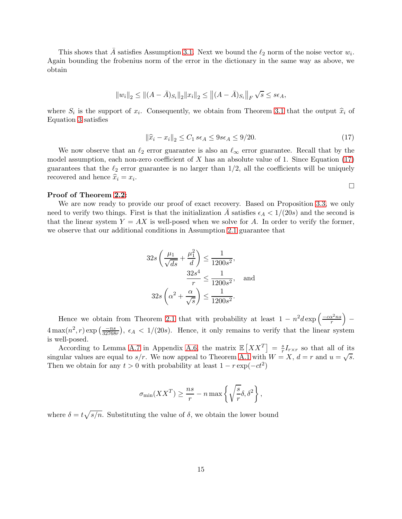This shows that  $\overline{A}$  satisfies Assumption [3.1.](#page-13-1) Next we bound the  $\ell_2$  norm of the noise vector  $w_i$ . Again bounding the frobenius norm of the error in the dictionary in the same way as above, we obtain

$$
||w_i||_2 \le ||(A - \bar{A})_{S_i}||_2 ||x_i||_2 \le ||(A - \bar{A})_{S_i}||_F \sqrt{s} \le s\epsilon_A,
$$

where  $S_i$  is the support of  $x_i$ . Consequently, we obtain from Theorem [3.1](#page-13-0) that the output  $\hat{x}_i$  of Equation [3](#page-7-1) satisfies

<span id="page-14-0"></span>
$$
\|\widehat{x}_i - x_i\|_2 \le C_1 \ s\epsilon_A \le 9s\epsilon_A \le 9/20. \tag{17}
$$

 $\Box$ 

We now observe that an  $\ell_2$  error guarantee is also an  $\ell_{\infty}$  error guarantee. Recall that by the model assumption, each non-zero coefficient of  $X$  has an absolute value of 1. Since Equation [\(17\)](#page-14-0) guarantees that the  $\ell_2$  error guarantee is no larger than  $1/2$ , all the coefficients will be uniquely recovered and hence  $\hat{x}_i = x_i$ .

#### Proof of Theorem [2.2:](#page-9-1)

We are now ready to provide our proof of exact recovery. Based on Proposition [3.3,](#page-13-2) we only need to verify two things. First is that the initialization A satisfies  $\epsilon_A < 1/(20s)$  and the second is that the linear system  $Y = AX$  is well-posed when we solve for A. In order to verify the former, we observe that our additional conditions in Assumption [2.1](#page-8-2) guarantee that

$$
32s\left(\frac{\mu_1}{\sqrt{ds}} + \frac{\mu_1^2}{d}\right) \le \frac{1}{1200s^2},
$$

$$
\frac{32s^4}{r} \le \frac{1}{1200s^2}, \text{ and }
$$

$$
32s\left(\alpha^2 + \frac{\alpha}{\sqrt{s}}\right) \le \frac{1}{1200s^2}.
$$

Hence we obtain from Theorem [2.1](#page-8-0) that with probability at least  $1 - n^2 d \exp \left( \frac{-c \alpha^2 n s}{r} \right)$  $\overline{ }$ −  $4\max(n^2, r) \exp\left(\frac{-ns}{32768r}\right), \epsilon_A < 1/(20s)$ . Hence, it only remains to verify that the linear system is well-posed.

According to Lemma [A.7](#page-28-0) in Appendix [A.6,](#page-27-1) the matrix  $\mathbb{E}[XX^T] = \frac{s}{r}I_{r\times r}$  so that all of its singular values are equal to  $s/r$ . We now appeal to Theorem [A.1](#page-21-1) with  $W = X$ ,  $d = r$  and  $u = \sqrt{s}$ . Then we obtain for any  $t > 0$  with probability at least  $1 - r \exp(-ct^2)$ 

$$
\sigma_{\min}(XX^T) \ge \frac{ns}{r} - n \max\left\{\sqrt{\frac{s}{r}}\delta, \delta^2\right\},\,
$$

where  $\delta = t \sqrt{s/n}$ . Substituting the value of  $\delta$ , we obtain the lower bound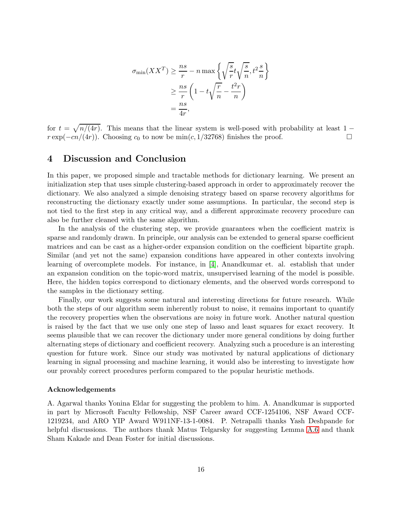$$
\sigma_{\min}(XX^T) \ge \frac{ns}{r} - n \max \left\{ \sqrt{\frac{s}{r}} t \sqrt{\frac{s}{n}}, t^2 \frac{s}{n} \right\}
$$

$$
\ge \frac{ns}{r} \left( 1 - t \sqrt{\frac{r}{n}} - \frac{t^2 r}{n} \right)
$$

$$
= \frac{ns}{4r},
$$

for  $t = \sqrt{n/(4r)}$ . This means that the linear system is well-posed with probability at least 1 −  $r \exp(-cn/(4r))$ . Choosing  $c_0$  to now be min(c, 1/32768) finishes the proof.

# 4 Discussion and Conclusion

In this paper, we proposed simple and tractable methods for dictionary learning. We present an initialization step that uses simple clustering-based approach in order to approximately recover the dictionary. We also analyzed a simple denoising strategy based on sparse recovery algorithms for reconstructing the dictionary exactly under some assumptions. In particular, the second step is not tied to the first step in any critical way, and a different approximate recovery procedure can also be further cleaned with the same algorithm.

In the analysis of the clustering step, we provide guarantees when the coefficient matrix is sparse and randomly drawn. In principle, our analysis can be extended to general sparse coefficient matrices and can be cast as a higher-order expansion condition on the coefficient bipartite graph. Similar (and yet not the same) expansion conditions have appeared in other contexts involving learning of overcomplete models. For instance, in [\[4\]](#page-29-10), Anandkumar et. al. establish that under an expansion condition on the topic-word matrix, unsupervised learning of the model is possible. Here, the hidden topics correspond to dictionary elements, and the observed words correspond to the samples in the dictionary setting.

Finally, our work suggests some natural and interesting directions for future research. While both the steps of our algorithm seem inherently robust to noise, it remains important to quantify the recovery properties when the observations are noisy in future work. Another natural question is raised by the fact that we use only one step of lasso and least squares for exact recovery. It seems plausible that we can recover the dictionary under more general conditions by doing further alternating steps of dictionary and coefficient recovery. Analyzing such a procedure is an interesting question for future work. Since our study was motivated by natural applications of dictionary learning in signal processing and machine learning, it would also be interesting to investigate how our provably correct procedures perform compared to the popular heuristic methods.

#### Acknowledgements

A. Agarwal thanks Yonina Eldar for suggesting the problem to him. A. Anandkumar is supported in part by Microsoft Faculty Fellowship, NSF Career award CCF-1254106, NSF Award CCF-1219234, and ARO YIP Award W911NF-13-1-0084. P. Netrapalli thanks Yash Deshpande for helpful discussions. The authors thank Matus Telgarsky for suggesting Lemma [A.6](#page-27-3) and thank Sham Kakade and Dean Foster for initial discussions.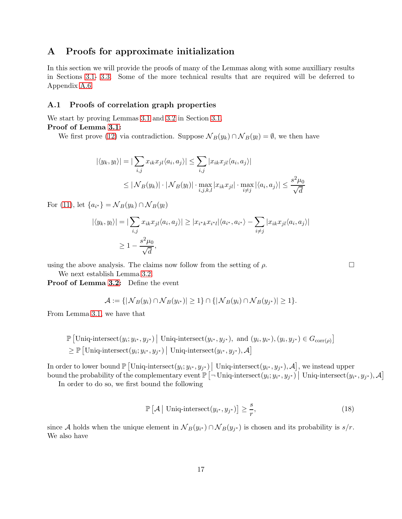# A Proofs for approximate initialization

In this section we will provide the proofs of many of the Lemmas along with some auxilliary results in Sections [3.1-](#page-9-2) [3.3.](#page-11-1) Some of the more technical results that are required will be deferred to Appendix [A.6.](#page-27-1)

# A.1 Proofs of correlation graph properties

We start by proving Lemmas [3.1](#page-9-0) and [3.2](#page-10-1) in Section [3.1.](#page-9-2)

Proof of Lemma [3.1:](#page-9-0)

We first prove [\(12\)](#page-9-3) via contradiction. Suppose  $\mathcal{N}_B(y_k) \cap \mathcal{N}_B(y_l) = \emptyset$ , we then have

$$
|\langle y_k, y_l \rangle| = \left| \sum_{i,j} x_{ik} x_{jl} \langle a_i, a_j \rangle \right| \le \sum_{i,j} |x_{ik} x_{jl} \langle a_i, a_j \rangle|
$$
  

$$
\le |\mathcal{N}_B(y_k)| \cdot |\mathcal{N}_B(y_l)| \cdot \max_{i,j,k,l} |x_{ik} x_{jl}| \cdot \max_{i \ne j} |\langle a_i, a_j \rangle| \le \frac{s^2 \mu_0}{\sqrt{d}}
$$

For [\(11\)](#page-9-4), let  ${a_{i^*}} = \mathcal{N}_B(y_k) \cap \mathcal{N}_B(y_l)$ 

$$
|\langle y_k, y_l \rangle| = |\sum_{i,j} x_{ik} x_{jl} \langle a_i, a_j \rangle| \ge |x_{i^*k} x_{i^*l} | \langle a_{i^*}, a_{i^*} \rangle - \sum_{i \ne j} |x_{ik} x_{jl} \langle a_i, a_j \rangle|
$$
  
 
$$
\ge 1 - \frac{s^2 \mu_0}{\sqrt{d}},
$$

using the above analysis. The claims now follow from the setting of  $\rho$ .

We next establish Lemma [3.2.](#page-10-1)

Proof of Lemma [3.2:](#page-10-1) Define the event

$$
\mathcal{A} := \{ |\mathcal{N}_B(y_i) \cap \mathcal{N}_B(y_{i^*})| \ge 1 \} \cap \{ |\mathcal{N}_B(y_i) \cap \mathcal{N}_B(y_{j^*})| \ge 1 \}.
$$

From Lemma [3.1,](#page-9-0) we have that

$$
\mathbb{P} \left[ \text{Uniq-intersect}(y_i; y_{i^*}, y_{j^*}) \mid \text{Uniq-intersect}(y_{i^*}, y_{j^*}), \text{ and } (y_i, y_{i^*}), (y_i, y_{j^*}) \in G_{\text{corr}(\rho)} \right] \geq \mathbb{P} \left[ \text{Uniq-intersect}(y_i; y_{i^*}, y_{j^*}) \mid \text{Uniq-intersect}(y_{i^*}, y_{j^*}), \mathcal{A} \right]
$$

In order to lower bound  $\mathbb{P}\left[\text{Uniq-intersect}(y_i; y_{i^*}, y_{j^*})\Big| \text{ Uniq-intersect}(y_{i^*}, y_{j^*}), \mathcal{A}\right]$ , we instead upper  $\text{bound the probability of the complementary event } \mathbb{P}\left[\neg \text{Uniqu-intersect}(y_i; y_{i^*}, y_{j^*}) \mid \text{Uniqu-intersect}(y_{i^*}, y_{j^*}), \mathcal{A}\right]$ 

In order to do so, we first bound the following

$$
\mathbb{P}\left[\mathcal{A}\,\middle|\,\text{Uniq-interset}(y_{i^*}, y_{j^*})\right] \ge \frac{s}{r},\tag{18}
$$

since A holds when the unique element in  $\mathcal{N}_B(y_{i^*}) \cap \mathcal{N}_B(y_{j^*})$  is chosen and its probability is  $s/r$ . We also have

<span id="page-16-0"></span>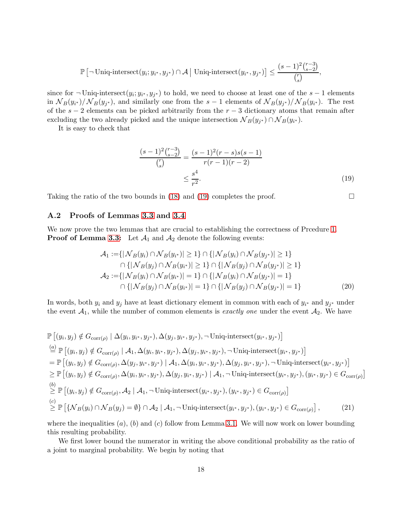$$
\mathbb{P}\left[\neg \text{Uniq-intersect}(y_i; y_{i^*}, y_{j^*}) \cap \mathcal{A} \mid \text{Uniq-intersect}(y_{i^*}, y_{j^*})\right] \le \frac{(s-1)^2 {r-3 \choose s-2}}{{r \choose s}},
$$

since for  $\neg$  Uniq-intersect $(y_i; y_{i^*}, y_{j^*})$  to hold, we need to choose at least one of the  $s-1$  elements in  $N_B(y_{i^*})/N_B(y_{j^*})$ , and similarly one from the  $s-1$  elements of  $N_B(y_{j^*})/N_B(y_{i^*})$ . The rest of the  $s - 2$  elements can be picked arbitrarily from the  $r - 3$  dictionary atoms that remain after excluding the two already picked and the unique intersection  $\mathcal{N}_B(y_{j^*}) \cap \mathcal{N}_B(y_{i^*})$ .

It is easy to check that

$$
\frac{(s-1)^2 \binom{r-3}{s-2}}{\binom{r}{s}} = \frac{(s-1)^2 (r-s)s(s-1)}{r(r-1)(r-2)}
$$

$$
\leq \frac{s^4}{r^2}.
$$
(19)

Taking the ratio of the two bounds in [\(18\)](#page-16-0) and [\(19\)](#page-17-0) completes the proof.  $\Box$ 

<span id="page-17-2"></span><span id="page-17-1"></span><span id="page-17-0"></span>

# A.2 Proofs of Lemmas [3.3](#page-11-2) and [3.4](#page-11-3)

We now prove the two lemmas that are crucial to establishing the correctness of Prcedure [1.](#page-6-0) **Proof of Lemma [3.3:](#page-11-2)** Let  $\mathcal{A}_1$  and  $\mathcal{A}_2$  denote the following events:

$$
\mathcal{A}_1 := \{ |\mathcal{N}_B(y_i) \cap \mathcal{N}_B(y_{i^*})| \ge 1 \} \cap \{ |\mathcal{N}_B(y_i) \cap \mathcal{N}_B(y_{j^*})| \ge 1 \} \n\cap \{ |\mathcal{N}_B(y_j) \cap \mathcal{N}_B(y_{i^*})| \ge 1 \} \cap \{ |\mathcal{N}_B(y_j) \cap \mathcal{N}_B(y_{j^*})| \ge 1 \} \n\mathcal{A}_2 := \{ |\mathcal{N}_B(y_i) \cap \mathcal{N}_B(y_{i^*})| = 1 \} \cap \{ |\mathcal{N}_B(y_i) \cap \mathcal{N}_B(y_{j^*})| = 1 \} \n\cap \{ |\mathcal{N}_B(y_j) \cap \mathcal{N}_B(y_{i^*})| = 1 \} \cap \{ |\mathcal{N}_B(y_j) \cap \mathcal{N}_B(y_{j^*})| = 1 \}
$$
\n(20)

In words, both  $y_i$  and  $y_j$  have at least dictionary element in common with each of  $y_{i^*}$  and  $y_{j^*}$  under the event  $A_1$ , while the number of common elements is *exactly one* under the event  $A_2$ . We have

$$
\mathbb{P}\left[(y_i, y_j) \notin G_{\text{corr}(\rho)} \mid \Delta(y_i, y_{i^*}, y_{j^*}), \Delta(y_j, y_{i^*}, y_{j^*}), \neg \text{Uniq-intersect}(y_{i^*}, y_{j^*})\right]
$$
\n
$$
\stackrel{(a)}{=} \mathbb{P}\left[(y_i, y_j) \notin G_{\text{corr}(\rho)} \mid \mathcal{A}_1, \Delta(y_i, y_{i^*}, y_{j^*}), \Delta(y_j, y_{i^*}, y_{j^*}), \neg \text{Uniq-intersect}(y_{i^*}, y_{j^*})\right]
$$
\n
$$
= \mathbb{P}\left[(y_i, y_j) \notin G_{\text{corr}(\rho)}, \Delta(y_j, y_{i^*}, y_{j^*}) \mid \mathcal{A}_1, \Delta(y_i, y_{i^*}, y_{j^*}), \Delta(y_j, y_{i^*}, y_{j^*}), \neg \text{Uniq-intersect}(y_{i^*}, y_{j^*})\right]
$$
\n
$$
\geq \mathbb{P}\left[(y_i, y_j) \notin G_{\text{corr}(\rho)}, \Delta(y_i, y_{i^*}, y_{j^*}), \Delta(y_j, y_{i^*}, y_{j^*}) \mid \mathcal{A}_1, \neg \text{Uniq-intersect}(y_{i^*}, y_{j^*}), (y_{i^*}, y_{j^*}) \in G_{\text{corr}(\rho)}\right]
$$
\n
$$
\stackrel{(b)}{\geq} \mathbb{P}\left[(y_i, y_j) \notin G_{\text{corr}(\rho)}, \mathcal{A}_2 \mid \mathcal{A}_1, \neg \text{Uniq-intersect}(y_{i^*}, y_{j^*}), (y_{i^*}, y_{j^*}) \in G_{\text{corr}(\rho)}\right]
$$
\n
$$
\stackrel{(c)}{\geq} \mathbb{P}\left[\{\mathcal{N}_B(y_i) \cap \mathcal{N}_B(y_j) = \emptyset\} \cap \mathcal{A}_2 \mid \mathcal{A}_1, \neg \text{Uniq-intersect}(y_{i^*}, y_{j^*}), (y_{i^*}, y_{j^*}) \in G_{\text{corr}(\rho)}\right],
$$
\n
$$
(21)
$$

where the inequalities  $(a)$ ,  $(b)$  and  $(c)$  follow from Lemma [3.1.](#page-9-0) We will now work on lower bounding this resulting probability.

We first lower bound the numerator in writing the above conditional probability as the ratio of a joint to marginal probability. We begin by noting that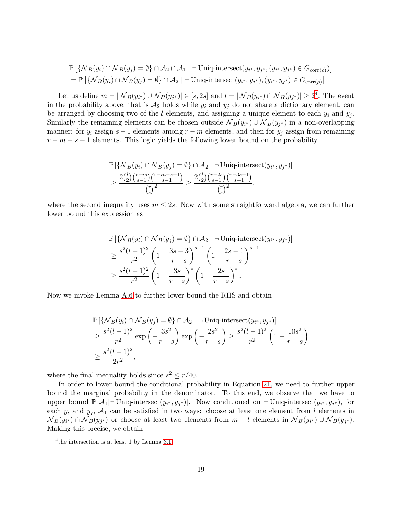$$
\mathbb{P}\left[\{\mathcal{N}_B(y_i) \cap \mathcal{N}_B(y_j) = \emptyset\} \cap \mathcal{A}_2 \cap \mathcal{A}_1 \mid \neg \text{Uniq-intersect}(y_{i^*}, y_{j^*}, (y_{i^*}, y_{j^*}) \in G_{\text{corr}(\rho)})\right]
$$
\n
$$
= \mathbb{P}\left[\{\mathcal{N}_B(y_i) \cap \mathcal{N}_B(y_j) = \emptyset\} \cap \mathcal{A}_2 \mid \neg \text{Uniq-intersect}(y_{i^*}, y_{j^*}), (y_{i^*}, y_{j^*}) \in G_{\text{corr}(\rho)}\right]
$$

Let us define  $m = |\mathcal{N}_B(y_{i^*}) \cup \mathcal{N}_B(y_{j^*})| \in [s, 2s]$  and  $l = |\mathcal{N}_B(y_{i^*}) \cap \mathcal{N}_B(y_{j^*})| \geq 2^4$  $l = |\mathcal{N}_B(y_{i^*}) \cap \mathcal{N}_B(y_{j^*})| \geq 2^4$ . The event in the probability above, that is  $A_2$  holds while  $y_i$  and  $y_j$  do not share a dictionary element, can be arranged by choosing two of the l elements, and assigning a unique element to each  $y_i$  and  $y_j$ . Similarly the remaining elements can be chosen outside  $\mathcal{N}_B(y_{i^*}) \cup \mathcal{N}_B(y_{j^*})$  in a non-overlapping manner: for  $y_i$  assign  $s-1$  elements among  $r-m$  elements, and then for  $y_j$  assign from remaining  $r - m - s + 1$  elements. This logic yields the following lower bound on the probability

$$
\mathbb{P}\left[\{\mathcal{N}_B(y_i) \cap \mathcal{N}_B(y_j) = \emptyset\} \cap \mathcal{A}_2 \mid \neg \text{Uniq-intersect}(y_{i^*}, y_{j^*})\right] \\
\geq \frac{2\binom{l}{2}\binom{r-m}{s-1}\binom{r-m-s+1}{s-1}}{\binom{r}{s}^2} \geq \frac{2\binom{l}{2}\binom{r-2s}{s-1}\binom{r-3s+1}{s-1}}{\binom{r}{s}^2},
$$

where the second inequality uses  $m \leq 2s$ . Now with some straightforward algebra, we can further lower bound this expression as

$$
\mathbb{P}\left[\{\mathcal{N}_B(y_i) \cap \mathcal{N}_B(y_j) = \emptyset\} \cap \mathcal{A}_2 \mid -\text{Uniq-intersect}(y_{i^*}, y_{j^*})\right] \\
\geq \frac{s^2(l-1)^2}{r^2} \left(1 - \frac{3s-3}{r-s}\right)^{s-1} \left(1 - \frac{2s-1}{r-s}\right)^{s-1} \\
\geq \frac{s^2(l-1)^2}{r^2} \left(1 - \frac{3s}{r-s}\right)^s \left(1 - \frac{2s}{r-s}\right)^s.
$$

Now we invoke Lemma [A.6](#page-27-3) to further lower bound the RHS and obtain

$$
\mathbb{P}\left[\{\mathcal{N}_B(y_i) \cap \mathcal{N}_B(y_j) = \emptyset\} \cap \mathcal{A}_2 \mid \neg \text{Uniq-intersect}(y_{i^*}, y_{j^*})\right] \\
\geq \frac{s^2(l-1)^2}{r^2} \exp\left(-\frac{3s^2}{r-s}\right) \exp\left(-\frac{2s^2}{r-s}\right) \geq \frac{s^2(l-1)^2}{r^2} \left(1 - \frac{10s^2}{r-s}\right) \\
\geq \frac{s^2(l-1)^2}{2r^2},
$$

where the final inequality holds since  $s^2 \leq r/40$ .

In order to lower bound the conditional probability in Equation [21,](#page-17-1) we need to further upper bound the marginal probability in the denominator. To this end, we observe that we have to upper bound  $\mathbb{P}[\mathcal{A}_1]$   $\lnot$  Uniq-intersect $(y_{i^*}, y_{j^*})$ . Now conditioned on  $\neg$  Uniq-intersect $(y_{i^*}, y_{j^*})$ , for each  $y_i$  and  $y_j$ ,  $\mathcal{A}_1$  can be satisfied in two ways: choose at least one element from l elements in  $N_B(y_{i^*}) \cap N_B(y_{j^*})$  or choose at least two elements from  $m-l$  elements in  $N_B(y_{i^*}) \cup N_B(y_{j^*})$ . Making this precise, we obtain

<span id="page-18-0"></span><sup>4</sup> the intersection is at least 1 by Lemma [3.1](#page-9-0)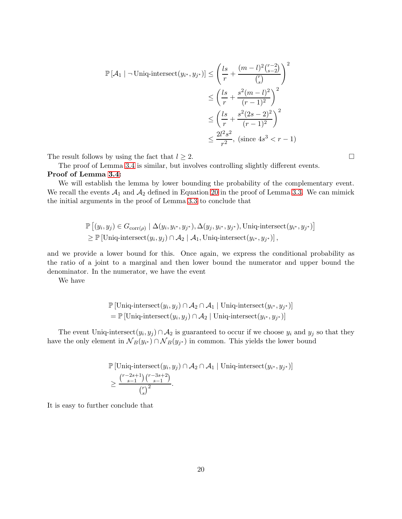$$
\mathbb{P}[\mathcal{A}_1 | \neg \text{Uniq-intersect}(y_{i^*}, y_{j^*})] \le \left(\frac{ls}{r} + \frac{(m-l)^2 \binom{r-2}{s-2}}{\binom{r}{s}}\right)^2
$$
  

$$
\le \left(\frac{ls}{r} + \frac{s^2(m-l)^2}{(r-1)^2}\right)^2
$$
  

$$
\le \left(\frac{ls}{r} + \frac{s^2(2s-2)^2}{(r-1)^2}\right)^2
$$
  

$$
\le \frac{2l^2s^2}{r^2}, \text{ (since } 4s^3 < r - 1)
$$

The result follows by using the fact that  $l \geq 2$ .

The proof of Lemma [3.4](#page-11-3) is similar, but involves controlling slightly different events. Proof of Lemma [3.4:](#page-11-3)

We will establish the lemma by lower bounding the probability of the complementary event. We recall the events  $A_1$  and  $A_2$  defined in Equation [20](#page-17-2) in the proof of Lemma [3.3.](#page-11-2) We can mimick the initial arguments in the proof of Lemma [3.3](#page-11-2) to conclude that

$$
\mathbb{P}\left[(y_i, y_j) \in G_{\text{corr}(\rho)} \mid \Delta(y_i, y_{i^*}, y_{j^*}), \Delta(y_j, y_{i^*}, y_{j^*}), \text{Uniq-intersect}(y_{i^*}, y_{j^*})\right] \geq \mathbb{P}\left[\text{Uniq-intersect}(y_i, y_j) \cap \mathcal{A}_2 \mid \mathcal{A}_1, \text{Uniq-intersect}(y_{i^*}, y_{j^*})\right],
$$

and we provide a lower bound for this. Once again, we express the conditional probability as the ratio of a joint to a marginal and then lower bound the numerator and upper bound the denominator. In the numerator, we have the event

We have

$$
\mathbb{P}[\text{Uniq-intersect}(y_i, y_j) \cap \mathcal{A}_2 \cap \mathcal{A}_1 | \text{Uniq-intersect}(y_{i^*}, y_{j^*})]
$$
  
= 
$$
\mathbb{P}[\text{Uniq-intersect}(y_i, y_j) \cap \mathcal{A}_2 | \text{Uniq-intersect}(y_{i^*}, y_{j^*})]
$$

The event Uniq-intersect $(y_i, y_j) \cap A_2$  is guaranteed to occur if we choose  $y_i$  and  $y_j$  so that they have the only element in  $N_B(y_{i^*}) \cap N_B(y_{j^*})$  in common. This yields the lower bound

$$
\mathbb{P} \left[ \text{Uniq-intersect}(y_i, y_j) \cap \mathcal{A}_2 \cap \mathcal{A}_1 \mid \text{Uniq-intersect}(y_{i^*}, y_{j^*}) \right] \ge \frac{\binom{r-2s+1}{s-1}\binom{r-3s+2}{s-1}}{\binom{r}{s}^2}.
$$

It is easy to further conclude that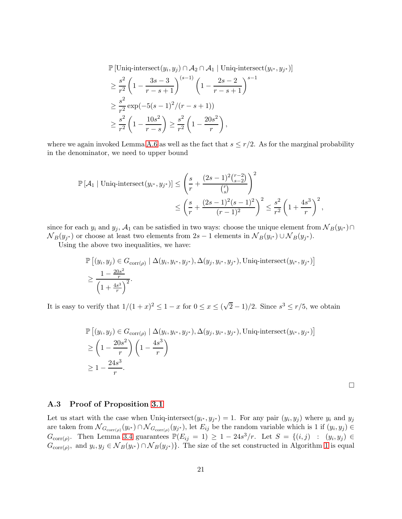$\mathbb{P} \left[ \text{Uniq-intersect}(y_i, y_j) \cap \mathcal{A}_2 \cap \mathcal{A}_1 \mid \text{Uniq-intersect}(y_{i^*}, y_{j^*}) \right]$ 

$$
\geq \frac{s^2}{r^2} \left( 1 - \frac{3s - 3}{r - s + 1} \right)^{(s-1)} \left( 1 - \frac{2s - 2}{r - s + 1} \right)^{s-1}
$$

$$
\geq \frac{s^2}{r^2} \exp(-5(s - 1)^2 / (r - s + 1))
$$

$$
\geq \frac{s^2}{r^2} \left( 1 - \frac{10s^2}{r - s} \right) \geq \frac{s^2}{r^2} \left( 1 - \frac{20s^2}{r} \right),
$$

where we again invoked Lemma [A.6](#page-27-3) as well as the fact that  $s \leq r/2$ . As for the marginal probability in the denominator, we need to upper bound

$$
\mathbb{P}[\mathcal{A}_1 | \text{Uniq-intersect}(y_{i^*}, y_{j^*})] \le \left(\frac{s}{r} + \frac{(2s-1)^2 \binom{r-2}{s-2}}{\binom{r}{s}}\right)^2
$$
  

$$
\le \left(\frac{s}{r} + \frac{(2s-1)^2 (s-1)^2}{(r-1)^2}\right)^2 \le \frac{s^2}{r^2} \left(1 + \frac{4s^3}{r}\right)^2,
$$

since for each  $y_i$  and  $y_j$ ,  $\mathcal{A}_1$  can be satisfied in two ways: choose the unique element from  $\mathcal{N}_B(y_{i^*}) \cap$  $N_B(y_{j^*})$  or choose at least two elements from 2s – 1 elements in  $N_B(y_{i^*}) \cup N_B(y_{j^*})$ .

Using the above two inequalities, we have:

$$
\mathbb{P}\left[(y_i, y_j) \in G_{\text{corr}(\rho)} \mid \Delta(y_i, y_{i^*}, y_{j^*}), \Delta(y_j, y_{i^*}, y_{j^*}), \text{Uniq-intersect}(y_{i^*}, y_{j^*})\right]
$$
  

$$
\geq \frac{1 - \frac{20s^2}{r}}{\left(1 + \frac{4s^3}{r}\right)^2}.
$$

It is easy to verify that  $1/(1+x)^2 \leq 1-x$  for  $0 \leq x \leq (\sqrt{2}-1)/2$ . Since  $s^3 \leq r/5$ , we obtain

$$
\mathbb{P}\left[(y_i, y_j) \in G_{\text{corr}(\rho)} \mid \Delta(y_i, y_{i^*}, y_{j^*}), \Delta(y_j, y_{i^*}, y_{j^*}), \text{Uniq-intersect}(y_{i^*}, y_{j^*})\right] \geq \left(1 - \frac{20s^2}{r}\right) \left(1 - \frac{4s^3}{r}\right) \geq 1 - \frac{24s^3}{r}.
$$

 $\Box$ 

### A.3 Proof of Proposition [3.1](#page-11-4)

Let us start with the case when Uniq-intersect $(y_{i^*}, y_{j^*}) = 1$ . For any pair  $(y_i, y_j)$  where  $y_i$  and  $y_j$ are taken from  $\mathcal{N}_{G_{\text{corr}(\rho)}}(y_{i^*}) \cap \mathcal{N}_{G_{\text{corr}(\rho)}}(y_{j^*})$ , let  $E_{ij}$  be the random variable which is 1 if  $(y_i, y_j) \in$  $G_{\text{corr}(\rho)}$ . Then Lemma [3.4](#page-11-3) guarantees  $\mathbb{P}(E_{ij} = 1) \geq 1 - 24s^3/r$ . Let  $S = \{(i, j) : (y_i, y_j) \in$  $G_{\text{corr}(\rho)}$ , and  $y_i, y_j \in \mathcal{N}_B(y_{i^*}) \cap \mathcal{N}_B(y_{j^*})\}$ . The size of the set constructed in Algorithm [1](#page-6-0) is equal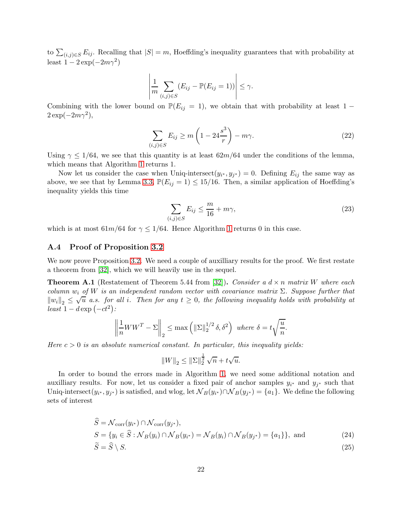to  $\sum_{(i,j)\in S} E_{ij}$ . Recalling that  $|S|=m$ , Hoeffding's inequality guarantees that with probability at least  $1 - 2 \exp(-2m\gamma^2)$ 

$$
\left|\frac{1}{m}\sum_{(i,j)\in S}(E_{ij}-\mathbb{P}(E_{ij}=1))\right|\leq \gamma.
$$

Combining with the lower bound on  $\mathbb{P}(E_{ij} = 1)$ , we obtain that with probability at least 1 −  $2 \exp(-2m\gamma^2),$ 

$$
\sum_{(i,j)\in S} E_{ij} \ge m\left(1 - 24\frac{s^3}{r}\right) - m\gamma.
$$
\n(22)

Using  $\gamma \leq 1/64$ , we see that this quantity is at least  $62m/64$  under the conditions of the lemma, which means that Algorithm [1](#page-6-0) returns 1.

Now let us consider the case when Uniq-intersect $(y_{i^*}, y_{j^*}) = 0$ . Defining  $E_{ij}$  the same way as above, we see that by Lemma [3.3,](#page-11-2)  $\mathbb{P}(E_{ij} = 1) \le 15/16$ . Then, a similar application of Hoeffding's inequality yields this time

$$
\sum_{(i,j)\in S} E_{ij} \le \frac{m}{16} + m\gamma,\tag{23}
$$

which is at most  $61m/64$  for  $\gamma \leq 1/64$  $\gamma \leq 1/64$  $\gamma \leq 1/64$ . Hence Algorithm 1 returns 0 in this case.

#### A.4 Proof of Proposition [3.2](#page-11-0)

We now prove Proposition [3.2.](#page-11-0) We need a couple of auxilliary results for the proof. We first restate a theorem from [\[32\]](#page-30-16), which we will heavily use in the sequel.

<span id="page-21-1"></span>**Theorem A.1** (Restatement of Theorem 5.44 from [\[32\]](#page-30-16)). Consider a  $d \times n$  matrix W where each column  $w_i$  of W is an independent random vector with covariance matrix  $\Sigma$ . Suppose further that  $||w_i||_2 \leq \sqrt{u}$  a.s. for all i. Then for any  $t \geq 0$ , the following inequality holds with probability at  $\frac{d}{dt}$  =  $d \exp(-ct^2)$ :

$$
\left\|\frac{1}{n}WW^{T} - \Sigma\right\|_{2} \le \max\left(\|\Sigma\|_{2}^{1/2}\delta, \delta^{2}\right) \text{ where } \delta = t\sqrt{\frac{u}{n}}.
$$

Here  $c > 0$  is an absolute numerical constant. In particular, this inequality yields:

<span id="page-21-0"></span>
$$
||W||_2 \le ||\Sigma||_2^{\frac{1}{2}} \sqrt{n} + t\sqrt{u}.
$$

In order to bound the errors made in Algorithm [1,](#page-6-0) we need some additional notation and auxilliary results. For now, let us consider a fixed pair of anchor samples  $y_{i^*}$  and  $y_{j^*}$  such that Uniq-intersect $(y_{i^*}, y_{j^*})$  is satisfied, and wlog, let  $\mathcal{N}_B(y_{i^*}) \cap \mathcal{N}_B(y_{j^*}) = \{a_1\}$ . We define the following sets of interest

$$
\widehat{S} = \mathcal{N}_{\text{corr}}(y_{i^*}) \cap \mathcal{N}_{\text{corr}}(y_{j^*}),
$$
\n
$$
S = \{ y_i \in \widehat{S} : \mathcal{N}_B(y_i) \cap \mathcal{N}_B(y_{i^*}) = \mathcal{N}_B(y_i) \cap \mathcal{N}_B(y_{j^*}) = \{a_1\} \}, \text{ and}
$$
\n
$$
\widetilde{S} = \widehat{S} \setminus S.
$$
\n(24)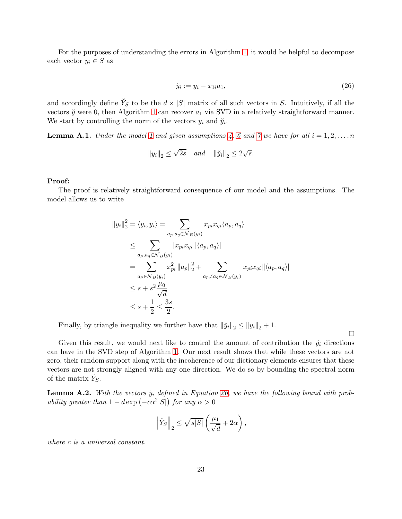For the purposes of understanding the errors in Algorithm [1,](#page-6-0) it would be helpful to decompose each vector  $y_i \in S$  as

<span id="page-22-0"></span>
$$
\breve{y}_i := y_i - x_{1i} a_1,\tag{26}
$$

and accordingly define  $\check{Y}_S$  to be the  $d \times |S|$  matrix of all such vectors in S. Intuitively, if all the vectors  $\check{y}$  were 0, then Algorithm [1](#page-6-0) can recover  $a_1$  via SVD in a relatively straightforward manner. We start by controlling the norm of the vectors  $y_i$  and  $\tilde{y}_i$ .

<span id="page-22-1"></span>**Lemma A.1.** Under the model [1](#page-0-0) and given assumptions [4,](#page-6-1) [6](#page-6-2) and [7](#page-7-2) we have for all  $i = 1, 2, ..., n$ 

$$
||y_i||_2 \le \sqrt{2s} \quad and \quad ||\breve{y}_i||_2 \le 2\sqrt{s}.
$$

#### Proof:

The proof is relatively straightforward consequence of our model and the assumptions. The model allows us to write

$$
||y_i||_2^2 = \langle y_i, y_i \rangle = \sum_{a_p, a_q \in \mathcal{N}_B(y_i)} x_{pi} x_{qi} \langle a_p, a_q \rangle
$$
  
\n
$$
\leq \sum_{a_p, a_q \in \mathcal{N}_B(y_i)} |x_{pi} x_{qi}| |\langle a_p, a_q \rangle|
$$
  
\n
$$
= \sum_{a_p \in \mathcal{N}_B(y_i)} x_{pi}^2 ||a_p||_2^2 + \sum_{a_p \neq a_q \in \mathcal{N}_B(y_i)} |x_{pi} x_{qi}| |\langle a_p, a_q \rangle|
$$
  
\n
$$
\leq s + s^2 \frac{\mu_0}{\sqrt{d}}
$$
  
\n
$$
\leq s + \frac{1}{2} \leq \frac{3s}{2}.
$$

Finally, by triangle inequality we further have that  $\|\ddot{y}_i\|_2 \leq \|y_i\|_2 + 1$ .

 $\Box$ 

Given this result, we would next like to control the amount of contribution the  $\ddot{y}_i$  directions can have in the SVD step of Algorithm [1.](#page-6-0) Our next result shows that while these vectors are not zero, their random support along with the incoherence of our dictionary elements ensures that these vectors are not strongly aligned with any one direction. We do so by bounding the spectral norm of the matrix  $\breve{Y}_S$ .

<span id="page-22-2"></span>**Lemma A.2.** With the vectors  $\check{y}_i$  defined in Equation [26,](#page-22-0) we have the following bound with probability greater than  $1 - d \exp(-c\alpha^2 |S|)$  for any  $\alpha > 0$ 

$$
\left\|\breve{Y}_S\right\|_2 \leq \sqrt{s|S|}\left(\frac{\mu_1}{\sqrt{d}}+2\alpha\right),\,
$$

where c is a universal constant.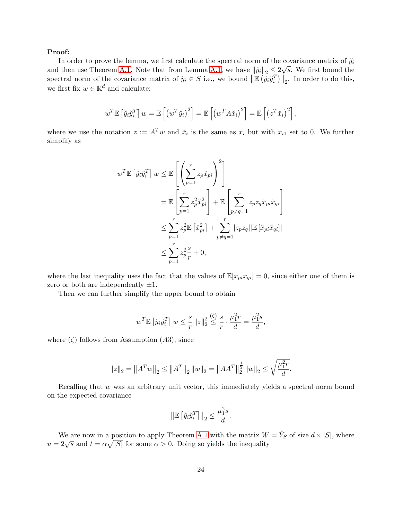### Proof:

In order to prove the lemma, we first calculate the spectral norm of the covariance matrix of  $\ddot{y}_i$ and then use Theorem [A.1.](#page-21-1) Note that from Lemma [A.1,](#page-22-1) we have  $||\ddot{y}_i||_2 \leq 2\sqrt{s}$ . We first bound the spectral norm of the covariance matrix of  $\check{y}_i \in S$  i.e., we bound  $\|\mathbb{E}(\check{y}_i \check{y}_i^T)\|_2$ . In order to do this, we first fix  $w \in \mathbb{R}^d$  and calculate:

$$
w^T \mathbb{E} \left[ \breve{y}_i \breve{y}_i^T \right] w = \mathbb{E} \left[ \left( w^T \breve{y}_i \right)^2 \right] = \mathbb{E} \left[ \left( w^T A \breve{x}_i \right)^2 \right] = \mathbb{E} \left[ \left( z^T \breve{x}_i \right)^2 \right],
$$

where we use the notation  $z := A^T w$  and  $\breve{x}_i$  is the same as  $x_i$  but with  $x_{i1}$  set to 0. We further simplify as

$$
w^T \mathbb{E} \left[ \check{y}_i \check{y}_i^T \right] w \leq \mathbb{E} \left[ \left( \sum_{p=1}^r z_p \check{x}_{pi} \right)^2 \right]
$$
  
\n
$$
= \mathbb{E} \left[ \sum_{p=1}^r z_p^2 \check{x}_{pi}^2 \right] + \mathbb{E} \left[ \sum_{p \neq q=1}^r z_p z_q \check{x}_{pi} \check{x}_{qi} \right]
$$
  
\n
$$
\leq \sum_{p=1}^r z_p^2 \mathbb{E} \left[ \check{x}_{pi}^2 \right] + \sum_{p \neq q=1}^r |z_p z_q| |\mathbb{E} \left[ \check{x}_{pi} \check{x}_{qi} \right]|
$$
  
\n
$$
\leq \sum_{p=1}^r z_p^2 \frac{s}{r} + 0,
$$

where the last inequality uses the fact that the values of  $\mathbb{E}[x_{pi}x_{qi}] = 0$ , since either one of them is zero or both are independently  $\pm 1$ .

Then we can further simplify the upper bound to obtain

$$
w^T \mathbb{E} \left[ \breve{y}_i \breve{y}_i^T \right] w \le \frac{s}{r} \|z\|_2^2 \overset{(\zeta)}{\le} \frac{s}{r} \cdot \frac{\mu_1^2 r}{d} = \frac{\mu_1^2 s}{d},
$$

where  $(\zeta)$  follows from Assumption  $(A3)$ , since

$$
\left\|z\right\|_2=\left\|A^Tw\right\|_2\leq\left\|A^T\right\|_2\left\|w\right\|_2=\left\|AA^T\right\|_2^{\frac{1}{2}}\left\|w\right\|_2\leq\sqrt{\frac{\mu_1^2r}{d}}.
$$

Recalling that w was an arbitrary unit vector, this immediately yields a spectral norm bound on the expected covariance

$$
\left\| \mathbb{E} \left[ \breve{y}_i \breve{y}_i^T \right] \right\|_2 \le \frac{\mu_1^2 s}{d}.
$$

We are now in a position to apply Theorem [A.1](#page-21-1) with the matrix  $W = Y_S$  of size  $d \times |S|$ , where  $u = 2\sqrt{s}$  and  $t = \alpha \sqrt{|S|}$  for some  $\alpha > 0$ . Doing so yields the inequality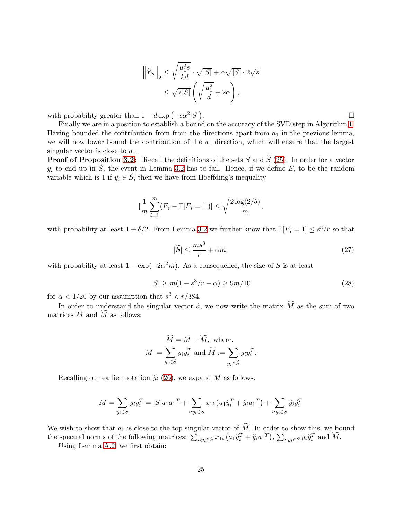$$
\left\| \check{Y}_S \right\|_2 \le \sqrt{\frac{\mu_1^2 s}{kd}} \cdot \sqrt{|S|} + \alpha \sqrt{|S|} \cdot 2\sqrt{s}
$$

$$
\le \sqrt{s|S|} \left( \sqrt{\frac{\mu_1^2}{d}} + 2\alpha \right),
$$

with probability greater than  $1 - d \exp(-c\alpha^2 |S|)$ 

Finally we are in a position to establish a bound on the accuracy of the SVD step in Algorithm [1.](#page-6-0) Having bounded the contribution from from the directions apart from  $a_1$  in the previous lemma, we will now lower bound the contribution of the  $a_1$  direction, which will ensure that the largest singular vector is close to  $a_1$ .

**Proof of Proposition [3.2:](#page-11-0)** Recall the definitions of the sets S and  $\widetilde{S}$  [\(25\)](#page-21-0). In order for a vector  $y_i$  to end up in  $\tilde{S}$ , the event in Lemma [3.2](#page-10-1) has to fail. Hence, if we define  $E_i$  to be the random variable which is 1 if  $y_i \in \widetilde{S}$ , then we have from Hoeffding's inequality

$$
|\frac{1}{m}\sum_{i=1}^{m}(E_i - \mathbb{P}[E_i = 1])| \leq \sqrt{\frac{2\log(2/\delta)}{m}},
$$

with probability at least  $1 - \delta/2$ . From Lemma [3.2](#page-10-1) we further know that  $\mathbb{P}[E_i = 1] \leq s^3/r$  so that

<span id="page-24-0"></span>
$$
|\tilde{S}| \le \frac{ms^3}{r} + \alpha m,\tag{27}
$$

with probability at least  $1 - \exp(-2\alpha^2 m)$ . As a consequence, the size of S is at least

<span id="page-24-1"></span>
$$
|S| \ge m(1 - s^3/r - \alpha) \ge 9m/10
$$
\n(28)

for  $\alpha < 1/20$  by our assumption that  $s^3 < r/384$ .

In order to understand the singular vector  $\hat{a}$ , we now write the matrix  $\widehat{M}$  as the sum of two matrices  $M$  and  $M$  as follows:

$$
\widehat{M} = M + \widetilde{M}, \text{ where,}
$$

$$
M := \sum_{y_i \in S} y_i y_i^T \text{ and } \widetilde{M} := \sum_{y_i \in \widetilde{S}} y_i y_i^T.
$$

Recalling our earlier notation  $\ddot{y}_i$  [\(26\)](#page-22-0), we expand M as follows:

$$
M = \sum_{y_i \in S} y_i y_i^T = |S| a_1 a_1^T + \sum_{i:y_i \in S} x_{1i} (a_1 \breve{y}_i^T + \breve{y}_i a_1^T) + \sum_{i:y_i \in S} \breve{y}_i \breve{y}_i^T
$$

We wish to show that  $a_1$  is close to the top singular vector of  $\widehat{M}$ . In order to show this, we bound the spectral norms of the following matrices:  $\sum_{i:y_i \in S} x_{1i} (a_1 \breve{y}_i^T + \breve{y}_i a_1^T)$ ,  $\sum_{i:y_i \in S} \breve{y}_i \breve{y}_i^T$  and  $\widetilde{M}$ .

Using Lemma [A.2,](#page-22-2) we first obtain:

. В последните поставите на селото на селото на селото на селото на селото на селото на селото на селото на се<br>Селото на селото на селото на селото на селото на селото на селото на селото на селото на селото на селото на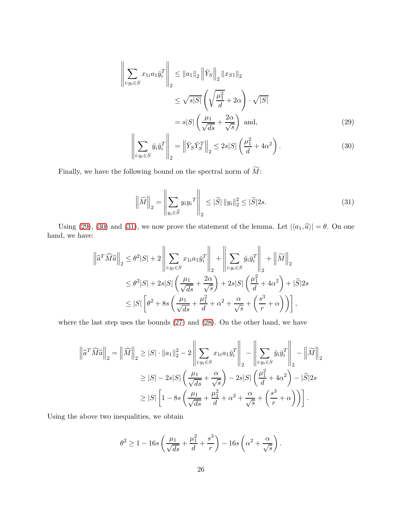$$
\left\| \sum_{i:y_i \in S} x_{1i} a_1 \check{y}_i^T \right\|_2 \le \|a_1\|_2 \left\| \check{Y}_S \right\|_2 \|x_{S1}\|_2
$$
  

$$
\le \sqrt{s|S|} \left( \sqrt{\frac{\mu_1^2}{d}} + 2\alpha \right) \cdot \sqrt{|S|}
$$
  

$$
= s|S| \left( \frac{\mu_1}{\sqrt{ds}} + \frac{2\alpha}{\sqrt{s}} \right) \text{ and,}
$$
  

$$
\left\| \sum_{i \in S} \mathbf{v} \cdot \mathbf{v}_i^T \right\|_2 \le \mathbf{v} \cdot \mathbf{v}_i^T \mathbf{v}_i^T \cdot \mathbf{v}_i^T \cdot \mathbf{v}_i^T \cdot \mathbf{v}_i^T \cdot \mathbf{v}_i^T \cdot \mathbf{v}_i^T \cdot \mathbf{v}_i^T \cdot \mathbf{v}_i^T \cdot \mathbf{v}_i^T \cdot \mathbf{v}_i^T \cdot \mathbf{v}_i^T \cdot \mathbf{v}_i^T \cdot \mathbf{v}_i^T \cdot \mathbf{v}_i^T \cdot \mathbf{v}_i^T \cdot \mathbf{v}_i^T \cdot \mathbf{v}_i^T \cdot \mathbf{v}_i^T \cdot \mathbf{v}_i^T \cdot \mathbf{v}_i^T \cdot \mathbf{v}_i^T \cdot \mathbf{v}_i^T \cdot \mathbf{v}_i^T \cdot \mathbf{v}_i^T \cdot \mathbf{v}_i^T \cdot \mathbf{v}_i^T \cdot \mathbf{v}_i^T \cdot \mathbf{v}_i^T \cdot \mathbf{v}_i^T \cdot \mathbf{v}_i^T \cdot \mathbf{v}_i^T \cdot \mathbf{v}_i^T \cdot \mathbf{v}_i^T \cdot \mathbf{v}_i^T \cdot \mathbf{v}_i^T \cdot \mathbf{v}_i^T \cdot \mathbf{v}_i^T \cdot \mathbf{v}_i^T \cdot \mathbf{v}_i^T \cdot \mathbf{v}_i^T \cdot \mathbf{v}_i^T \cdot \mathbf{v}_i^T \cdot \mathbf{v}_i^T \cdot \mathbf{v}_i^T \cdot \mathbf{v}_i^T \cdot \mathbf{v}_i^T \cdot \mathbf{v}_i^T \cdot \mathbf{v}_i^T \
$$

<span id="page-25-1"></span><span id="page-25-0"></span>
$$
\left\| \sum_{i:y_i \in S} \breve{y}_i \breve{y}_i^T \right\|_2 = \left\| \breve{Y}_S \breve{Y}_S^T \right\|_2 \le 2s|S| \left( \frac{\mu_1^2}{d} + 4\alpha^2 \right). \tag{30}
$$

Finally, we have the following bound on the spectral norm of  $\widetilde{M}$ :

<span id="page-25-2"></span>
$$
\left\| \widetilde{M} \right\|_2 = \left\| \sum_{y_i \in \widetilde{S}} y_i y_i^T \right\|_2 \leq |\widetilde{S}| \left\| y_i \right\|_2^2 \leq |\widetilde{S}| 2s. \tag{31}
$$

Using [\(29\)](#page-25-0), [\(30\)](#page-25-1) and [\(31\)](#page-25-2), we now prove the statement of the lemma. Let  $|\langle a_1, \hat{a} \rangle| = \theta$ . On one hand, we have:

$$
\left\| \widehat{a}^T \widehat{M} \widehat{a} \right\|_2 \leq \theta^2 |S| + 2 \left\| \sum_{i:y_i \in S} x_{1i} a_1 \widehat{y}_i^T \right\|_2 + \left\| \sum_{i:y_i \in S} \widecheck{y}_i \widehat{y}_i^T \right\|_2 + \left\| \widetilde{M} \right\|_2
$$
  

$$
\leq \theta^2 |S| + 2s|S| \left( \frac{\mu_1}{\sqrt{ds}} + \frac{2\alpha}{\sqrt{s}} \right) + 2s|S| \left( \frac{\mu_1^2}{d} + 4\alpha^2 \right) + |\widetilde{S}|2s
$$
  

$$
\leq |S| \left[ \theta^2 + 8s \left( \frac{\mu_1}{\sqrt{ds}} + \frac{\mu_1^2}{d} + \alpha^2 + \frac{\alpha}{\sqrt{s}} + \left( \frac{s^3}{r} + \alpha \right) \right) \right],
$$

where the last step uses the bounds [\(27\)](#page-24-0) and [\(28\)](#page-24-1). On the other hand, we have

$$
\left\| \widehat{a}^T \widehat{M} \widehat{a} \right\|_2 = \left\| \widehat{M} \right\|_2 \geq |S| \cdot \|a_1\|_2^2 - 2 \left\| \sum_{i:y_i \in S} x_{1i} a_1 \widecheck{y}_i^T \right\|_2 - \left\| \sum_{i:y_i \in S} \widecheck{y}_i \widecheck{y}_i^T \right\|_2 - \left\| \widecheck{M} \right\|_2
$$
  
\n
$$
\geq |S| - 2s|S| \left( \frac{\mu_1}{\sqrt{ds}} + \frac{\alpha}{\sqrt{s}} \right) - 2s|S| \left( \frac{\mu_1^2}{d} + 4\alpha^2 \right) - |\widetilde{S}|2s
$$
  
\n
$$
\geq |S| \left[ 1 - 8s \left( \frac{\mu_1}{\sqrt{ds}} + \frac{\mu_1^2}{d} + \alpha^2 + \frac{\alpha}{\sqrt{s}} + \left( \frac{s^3}{r} + \alpha \right) \right) \right].
$$

Using the above two inequalities, we obtain

$$
\theta^2 \ge 1 - 16s \left( \frac{\mu_1}{\sqrt{ds}} + \frac{\mu_1^2}{d} + \frac{s^3}{r} \right) - 16s \left( \alpha^2 + \frac{\alpha}{\sqrt{s}} \right).
$$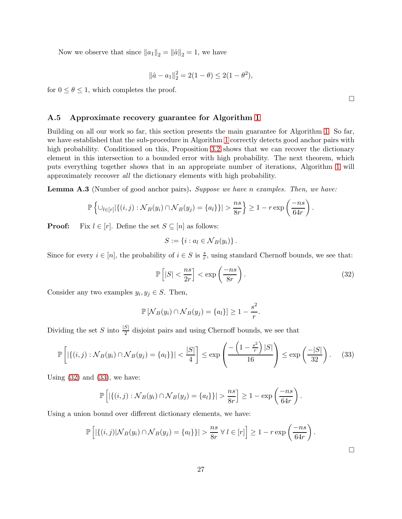Now we observe that since  $||a_1||_2 = ||\hat{a}||_2 = 1$ , we have

$$
\|\hat{a} - a_1\|_2^2 = 2(1 - \theta) \le 2(1 - \theta^2),
$$

for  $0 \le \theta \le 1$ , which completes the proof.

# A.5 Approximate recovery guarantee for Algorithm [1](#page-6-0)

Building on all our work so far, this section presents the main guarantee for Algorithm [1.](#page-6-0) So far, we have established that the sub-procedure in Algorithm [1](#page-6-0) correctly detects good anchor pairs with high probability. Conditioned on this, Proposition [3.2](#page-11-0) shows that we can recover the dictionary element in this intersection to a bounded error with high probability. The next theorem, which puts everything together shows that in an appropriate number of iterations, Algorithm [1](#page-6-0) will approximately receover all the dictionary elements with high probability.

**Lemma A.3** (Number of good anchor pairs). Suppose we have n examples. Then, we have:

$$
\mathbb{P}\left\{\cup_{l\in[r]}|\{(i,j): \mathcal{N}_B(y_i)\cap \mathcal{N}_B(y_j)=\{a_l\} \}|>\frac{ns}{8r}\right\} \geq 1-r\exp\left(\frac{-ns}{64r}\right).
$$

**Proof:** Fix  $l \in [r]$ . Define the set  $S \subseteq [n]$  as follows:

$$
S := \{i : a_l \in \mathcal{N}_B(y_i)\}.
$$

Since for every  $i \in [n]$ , the probability of  $i \in S$  is  $\frac{s}{r}$ , using standard Chernoff bounds, we see that:

$$
\mathbb{P}\left[|S| < \frac{ns}{2r}\right] < \exp\left(\frac{-ns}{8r}\right). \tag{32}
$$

Consider any two examples  $y_i, y_j \in S$ . Then,

$$
\mathbb{P}\left[\mathcal{N}_B(y_i)\cap \mathcal{N}_B(y_j)=\{a_l\}\right]\geq 1-\frac{s^2}{r}.
$$

Dividing the set S into  $\frac{|S|}{2}$  disjoint pairs and using Chernoff bounds, we see that

$$
\mathbb{P}\left[\left|\left\{(i,j): \mathcal{N}_B(y_i) \cap \mathcal{N}_B(y_j) = \{a_l\}\right\}\right| < \frac{|S|}{4}\right] \le \exp\left(\frac{-\left(1 - \frac{s^2}{r}\right)|S|}{16}\right) \le \exp\left(\frac{-|S|}{32}\right). \tag{33}
$$

Using  $(32)$  and  $(33)$ , we have:

$$
\mathbb{P}\left[\left|\left\{(i,j): \mathcal{N}_B(y_i) \cap \mathcal{N}_B(y_j) = \{a_l\}\right\}\right| > \frac{ns}{8r} \right] \geq 1 - \exp\left(\frac{-ns}{64r}\right).
$$

Using a union bound over different dictionary elements, we have:

$$
\mathbb{P}\left[\left|\{(i,j)|\mathcal{N}_B(y_i)\cap \mathcal{N}_B(y_j)=\{a_l\}\}\right|>\frac{ns}{8r}~\forall~l\in[r]\right]\geq 1-r\exp\left(\frac{-ns}{64r}\right).
$$

<span id="page-26-1"></span> $\Box$ 

<span id="page-26-0"></span> $\Box$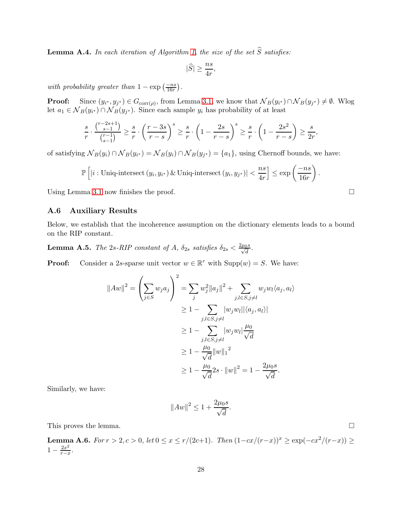<span id="page-27-2"></span>**Lemma A.4.** In each iteration of Algorithm [1,](#page-6-0) the size of the set  $\widehat{S}$  satisfies:

$$
|\widehat{S}| \ge \frac{ns}{4r},
$$

with probability greater than  $1 - \exp\left(\frac{-ns}{16r}\right)$ .

**Proof:** Since  $(y_{i^*}, y_{j^*}) \in G_{\text{corr}(\rho)}$ , from Lemma [3.1,](#page-9-0) we know that  $\mathcal{N}_B(y_{i^*}) \cap \mathcal{N}_B(y_{j^*}) \neq \emptyset$ . Wlog let  $a_1 \in \mathcal{N}_B(y_{i^*}) \cap \mathcal{N}_B(y_{j^*})$ . Since each sample  $y_i$  has probability of at least

$$
\frac{s}{r} \cdot \frac{\binom{r-2s+1}{s-1}}{\binom{r-1}{s-1}} \ge \frac{s}{r} \cdot \left(\frac{r-3s}{r-s}\right)^s \ge \frac{s}{r} \cdot \left(1 - \frac{2s}{r-s}\right)^s \ge \frac{s}{r} \cdot \left(1 - \frac{2s^2}{r-s}\right) \ge \frac{s}{2r},
$$

of satisfying  $N_B(y_i) \cap N_B(y_{i^*}) = N_B(y_i) \cap N_B(y_{j^*}) = \{a_1\}$ , using Chernoff bounds, we have:

$$
\mathbb{P}\left[|i:\text{Uniq-intersect}\left(y_i,y_{i^*}\right) \& \text{Uniq-intersect}\left(y_i,y_{j^*}\right)| < \frac{ns}{4r} \right] \le \exp\left(\frac{-ns}{16r}\right)
$$

Using Lemma [3.1](#page-9-0) now finishes the proof.  $\square$ 

# <span id="page-27-1"></span>A.6 Auxiliary Results

Below, we establish that the incoherence assumption on the dictionary elements leads to a bound on the RIP constant.

<span id="page-27-0"></span>**Lemma A.5.** The 2s-RIP constant of A,  $\delta_{2s}$  satisfies  $\delta_{2s} < \frac{2\mu_0 s}{\sqrt{d}}$  $\frac{0}{d}$  .

**Proof:** Consider a 2s-sparse unit vector  $w \in \mathbb{R}^r$  with  $\text{Supp}(w) = S$ . We have:

$$
||Aw||2 = \left(\sum_{j\in S} w_j a_j\right)^2 = \sum_j w_j^2 ||a_j||^2 + \sum_{j,l\in S, j\neq l} w_j w_l \langle a_j, a_l \rangle
$$
  
\n
$$
\ge 1 - \sum_{j,l\in S, j\neq l} |w_j w_l|| \langle a_j, a_l \rangle |
$$
  
\n
$$
\ge 1 - \sum_{j,l\in S, j\neq l} |w_j w_l| \frac{\mu_0}{\sqrt{d}}
$$
  
\n
$$
\ge 1 - \frac{\mu_0}{\sqrt{d}} ||w||_1^2
$$
  
\n
$$
\ge 1 - \frac{\mu_0}{\sqrt{d}} 2s \cdot ||w||^2 = 1 - \frac{2\mu_0 s}{\sqrt{d}}.
$$

Similarly, we have:

$$
||Aw||^2 \le 1 + \frac{2\mu_0 s}{\sqrt{d}}.
$$

This proves the lemma.  $\square$ 

<span id="page-27-3"></span>Lemma A.6. For  $r > 2, c > 0$ , let  $0 \le x \le r/(2c+1)$ . Then  $(1-cx/(r-x))^x \ge \exp(-cx^2/(r-x)) \ge$  $1 - \frac{2x^2}{r - x}$  $\frac{2x^2}{r-x}$ .

.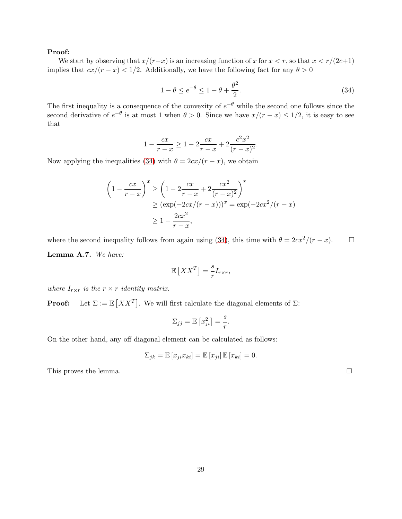### Proof:

We start by observing that  $x/(r-x)$  is an increasing function of x for  $x < r$ , so that  $x < r/(2c+1)$ implies that  $cx/(r-x) < 1/2$ . Additionally, we have the following fact for any  $\theta > 0$ 

<span id="page-28-1"></span>
$$
1 - \theta \le e^{-\theta} \le 1 - \theta + \frac{\theta^2}{2}.\tag{34}
$$

The first inequality is a consequence of the convexity of  $e^{-\theta}$  while the second one follows since the second derivative of  $e^{-\theta}$  is at most 1 when  $\theta > 0$ . Since we have  $x/(r - x) \leq 1/2$ , it is easy to see that

$$
1 - \frac{cx}{r - x} \ge 1 - 2\frac{cx}{r - x} + 2\frac{c^2x^2}{(r - x)^2}.
$$

Now applying the inequalities [\(34\)](#page-28-1) with  $\theta = 2cx/(r - x)$ , we obtain

$$
\left(1 - \frac{cx}{r - x}\right)^x \ge \left(1 - 2\frac{cx}{r - x} + 2\frac{cx^2}{(r - x)^2}\right)^x
$$
  
 
$$
\ge (\exp(-2cx/(r - x)))^x = \exp(-2cx^2/(r - x))
$$
  
 
$$
\ge 1 - \frac{2cx^2}{r - x},
$$

<span id="page-28-0"></span>where the second inequality follows from again using [\(34\)](#page-28-1), this time with  $\theta = 2cx^2/(r - x)$ .  $\Box$ Lemma A.7. We have:

$$
\mathbb{E}\left[XX^T\right] = \frac{s}{r} I_{r \times r},
$$

where  $I_{r\times r}$  is the  $r \times r$  identity matrix.

**Proof:** Let  $\Sigma := \mathbb{E}[XX^T]$ . We will first calculate the diagonal elements of  $\Sigma$ :

$$
\Sigma_{jj} = \mathbb{E}\left[x_{ji}^2\right] = \frac{s}{r}.
$$

On the other hand, any off diagonal element can be calculated as follows:

$$
\Sigma_{jk} = \mathbb{E}\left[x_{ji}x_{ki}\right] = \mathbb{E}\left[x_{ji}\right]\mathbb{E}\left[x_{ki}\right] = 0.
$$

This proves the lemma.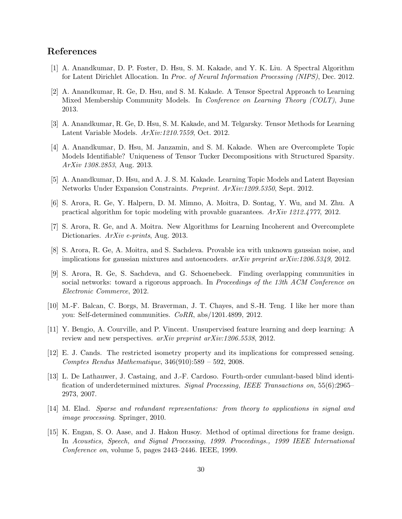# <span id="page-29-7"></span>References

- <span id="page-29-11"></span>[1] A. Anandkumar, D. P. Foster, D. Hsu, S. M. Kakade, and Y. K. Liu. A Spectral Algorithm for Latent Dirichlet Allocation. In Proc. of Neural Information Processing (NIPS), Dec. 2012.
- [2] A. Anandkumar, R. Ge, D. Hsu, and S. M. Kakade. A Tensor Spectral Approach to Learning Mixed Membership Community Models. In Conference on Learning Theory (COLT), June 2013.
- <span id="page-29-10"></span><span id="page-29-5"></span>[3] A. Anandkumar, R. Ge, D. Hsu, S. M. Kakade, and M. Telgarsky. Tensor Methods for Learning Latent Variable Models. ArXiv:1210.7559, Oct. 2012.
- [4] A. Anandkumar, D. Hsu, M. Janzamin, and S. M. Kakade. When are Overcomplete Topic Models Identifiable? Uniqueness of Tensor Tucker Decompositions with Structured Sparsity. ArXiv 1308.2853, Aug. 2013.
- <span id="page-29-9"></span><span id="page-29-8"></span>[5] A. Anandkumar, D. Hsu, and A. J. S. M. Kakade. Learning Topic Models and Latent Bayesian Networks Under Expansion Constraints. Preprint. ArXiv:1209.5350, Sept. 2012.
- <span id="page-29-2"></span>[6] S. Arora, R. Ge, Y. Halpern, D. M. Mimno, A. Moitra, D. Sontag, Y. Wu, and M. Zhu. A practical algorithm for topic modeling with provable guarantees. ArXiv 1212.4777, 2012.
- <span id="page-29-4"></span>[7] S. Arora, R. Ge, and A. Moitra. New Algorithms for Learning Incoherent and Overcomplete Dictionaries.  $ArXiv$  e-prints, Aug. 2013.
- <span id="page-29-13"></span>[8] S. Arora, R. Ge, A. Moitra, and S. Sachdeva. Provable ica with unknown gaussian noise, and implications for gaussian mixtures and autoencoders.  $arXiv$  preprint  $arXiv:1206.5349, 2012$ .
- [9] S. Arora, R. Ge, S. Sachdeva, and G. Schoenebeck. Finding overlapping communities in social networks: toward a rigorous approach. In *Proceedings of the 13th ACM Conference on* Electronic Commerce, 2012.
- <span id="page-29-12"></span><span id="page-29-0"></span>[10] M.-F. Balcan, C. Borgs, M. Braverman, J. T. Chayes, and S.-H. Teng. I like her more than you: Self-determined communities. CoRR, abs/1201.4899, 2012.
- <span id="page-29-14"></span>[11] Y. Bengio, A. Courville, and P. Vincent. Unsupervised feature learning and deep learning: A review and new perspectives.  $arXiv$  preprint  $arXiv:1206.5538$ , 2012.
- [12] E. J. Cands. The restricted isometry property and its implications for compressed sensing. Comptes Rendus Mathematique, 346(910):589 – 592, 2008.
- <span id="page-29-6"></span>[13] L. De Lathauwer, J. Castaing, and J.-F. Cardoso. Fourth-order cumulant-based blind identification of underdetermined mixtures. Signal Processing, IEEE Transactions on, 55(6):2965– 2973, 2007.
- <span id="page-29-1"></span>[14] M. Elad. Sparse and redundant representations: from theory to applications in signal and image processing. Springer, 2010.
- <span id="page-29-3"></span>[15] K. Engan, S. O. Aase, and J. Hakon Husoy. Method of optimal directions for frame design. In Acoustics, Speech, and Signal Processing, 1999. Proceedings., 1999 IEEE International Conference on, volume 5, pages 2443–2446. IEEE, 1999.